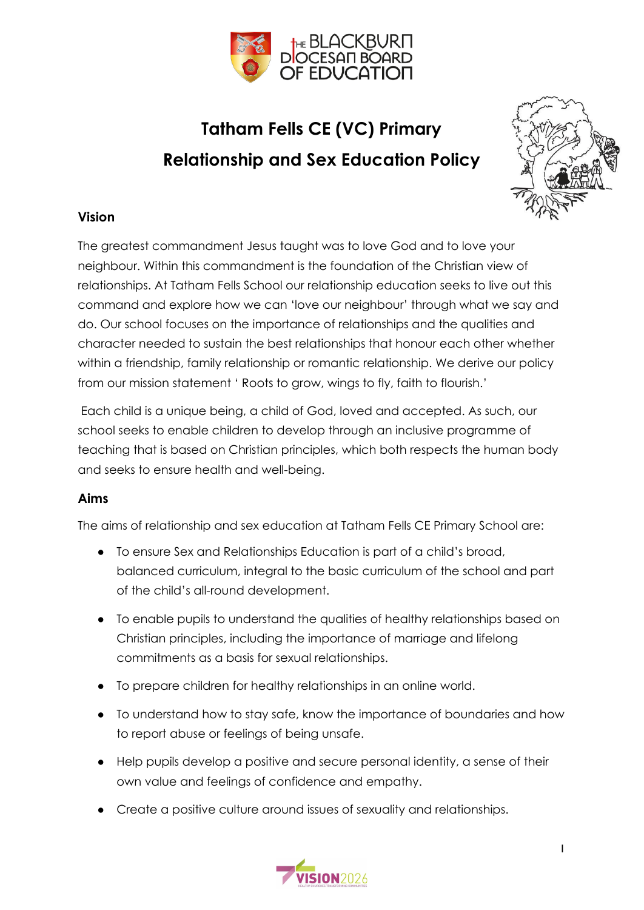

### **Tatham Fells CE (VC) Primary Relationship and Sex Education Policy**



#### **Vision**

The greatest commandment Jesus taught was to love God and to love your neighbour. Within this commandment is the foundation of the Christian view of relationships. At Tatham Fells School our relationship education seeks to live out this command and explore how we can 'love our neighbour' through what we say and do. Our school focuses on the importance of relationships and the qualities and character needed to sustain the best relationships that honour each other whether within a friendship, family relationship or romantic relationship. We derive our policy from our mission statement ' Roots to grow, wings to fly, faith to flourish.'

Each child is a unique being, a child of God, loved and accepted. As such, our school seeks to enable children to develop through an inclusive programme of teaching that is based on Christian principles, which both respects the human body and seeks to ensure health and well-being.

#### **Aims**

The aims of relationship and sex education at Tatham Fells CE Primary School are:

- To ensure Sex and Relationships Education is part of a child's broad, balanced curriculum, integral to the basic curriculum of the school and part of the child's all-round development.
- To enable pupils to understand the qualities of healthy relationships based on Christian principles, including the importance of marriage and lifelong commitments as a basis for sexual relationships.
- To prepare children for healthy relationships in an online world.
- To understand how to stay safe, know the importance of boundaries and how to report abuse or feelings of being unsafe.
- Help pupils develop a positive and secure personal identity, a sense of their own value and feelings of confidence and empathy.
- Create a positive culture around issues of sexuality and relationships.

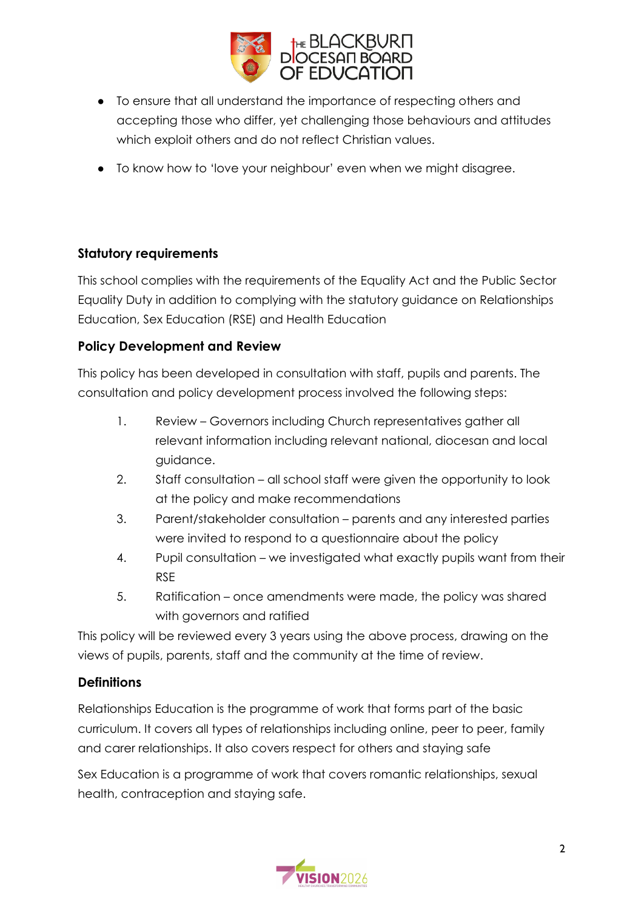

- To ensure that all understand the importance of respecting others and accepting those who differ, yet challenging those behaviours and attitudes which exploit others and do not reflect Christian values.
- To know how to 'love your neighbour' even when we might disagree.

#### **Statutory requirements**

This school complies with the requirements of the Equality Act and the Public Sector Equality Duty in addition to complying with the statutory guidance on Relationships Education, Sex Education (RSE) and Health Education

#### **Policy Development and Review**

This policy has been developed in consultation with staff, pupils and parents. The consultation and policy development process involved the following steps:

- 1. Review Governors including Church representatives gather all relevant information including relevant national, diocesan and local guidance.
- 2. Staff consultation all school staff were given the opportunity to look at the policy and make recommendations
- 3. Parent/stakeholder consultation parents and any interested parties were invited to respond to a questionnaire about the policy
- 4. Pupil consultation we investigated what exactly pupils want from their RSE
- 5. Ratification once amendments were made, the policy was shared with governors and ratified

This policy will be reviewed every 3 years using the above process, drawing on the views of pupils, parents, staff and the community at the time of review.

#### **Definitions**

Relationships Education is the programme of work that forms part of the basic curriculum. It covers all types of relationships including online, peer to peer, family and carer relationships. It also covers respect for others and staying safe

Sex Education is a programme of work that covers romantic relationships, sexual health, contraception and staying safe.

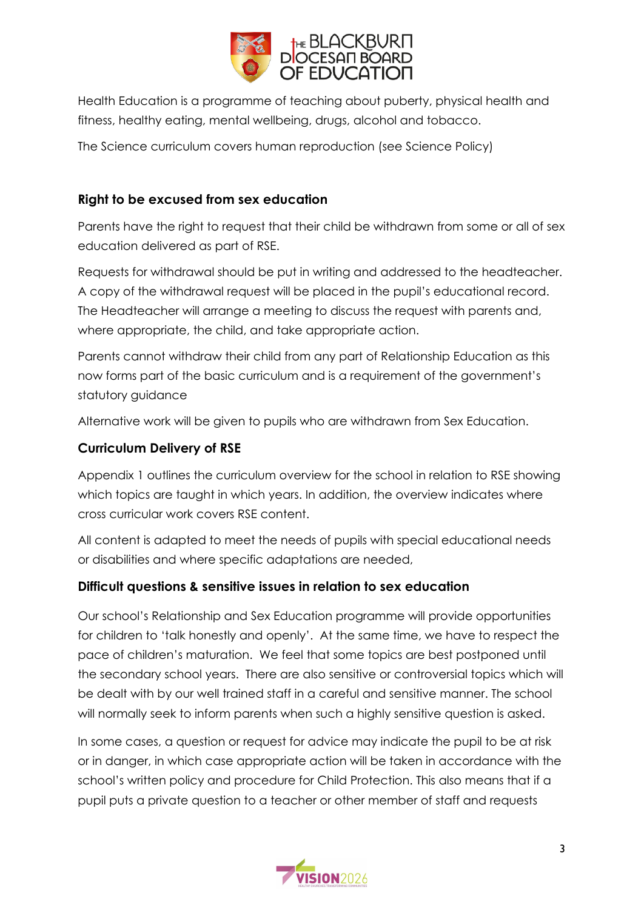

Health Education is a programme of teaching about puberty, physical health and fitness, healthy eating, mental wellbeing, drugs, alcohol and tobacco.

The Science curriculum covers human reproduction (see Science Policy)

#### **Right to be excused from sex education**

Parents have the right to request that their child be withdrawn from some or all of sex education delivered as part of RSE.

Requests for withdrawal should be put in writing and addressed to the headteacher. A copy of the withdrawal request will be placed in the pupil's educational record. The Headteacher will arrange a meeting to discuss the request with parents and, where appropriate, the child, and take appropriate action.

Parents cannot withdraw their child from any part of Relationship Education as this now forms part of the basic curriculum and is a requirement of the government's statutory guidance

Alternative work will be given to pupils who are withdrawn from Sex Education.

#### **Curriculum Delivery of RSE**

Appendix 1 outlines the curriculum overview for the school in relation to RSE showing which topics are taught in which years. In addition, the overview indicates where cross curricular work covers RSE content.

All content is adapted to meet the needs of pupils with special educational needs or disabilities and where specific adaptations are needed,

#### **Difficult questions & sensitive issues in relation to sex education**

Our school's Relationship and Sex Education programme will provide opportunities for children to 'talk honestly and openly'. At the same time, we have to respect the pace of children's maturation. We feel that some topics are best postponed until the secondary school years. There are also sensitive or controversial topics which will be dealt with by our well trained staff in a careful and sensitive manner. The school will normally seek to inform parents when such a highly sensitive question is asked.

In some cases, a question or request for advice may indicate the pupil to be at risk or in danger, in which case appropriate action will be taken in accordance with the school's written policy and procedure for Child Protection. This also means that if a pupil puts a private question to a teacher or other member of staff and requests

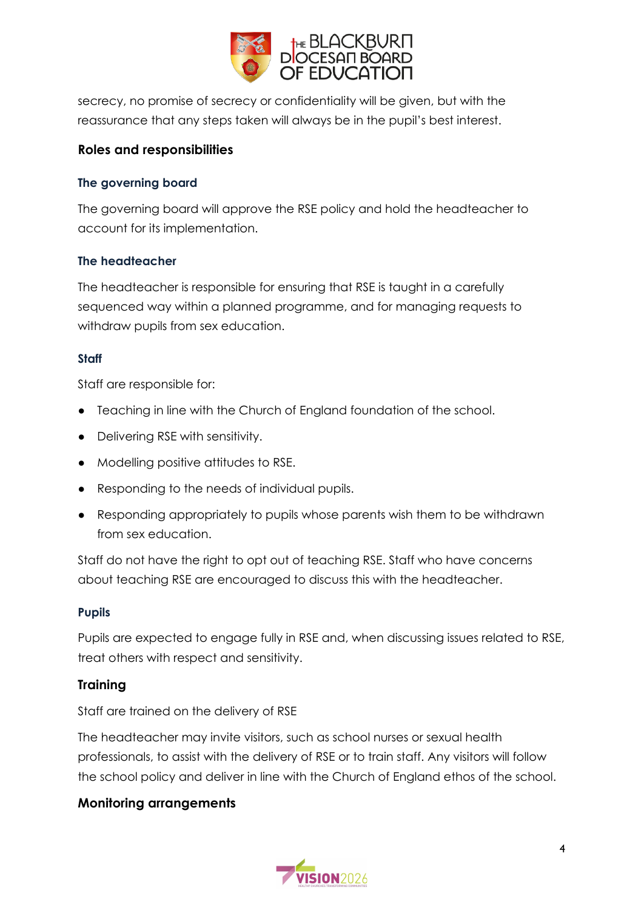

secrecy, no promise of secrecy or confidentiality will be given, but with the reassurance that any steps taken will always be in the pupil's best interest.

#### **Roles and responsibilities**

#### **The governing board**

The governing board will approve the RSE policy and hold the headteacher to account for its implementation.

#### **The headteacher**

The headteacher is responsible for ensuring that RSE is taught in a carefully sequenced way within a planned programme, and for managing requests to withdraw pupils from sex education.

#### **Staff**

Staff are responsible for:

- Teaching in line with the Church of England foundation of the school.
- Delivering RSE with sensitivity.
- Modelling positive attitudes to RSE.
- Responding to the needs of individual pupils.
- Responding appropriately to pupils whose parents wish them to be withdrawn from sex education.

Staff do not have the right to opt out of teaching RSE. Staff who have concerns about teaching RSE are encouraged to discuss this with the headteacher.

#### **Pupils**

Pupils are expected to engage fully in RSE and, when discussing issues related to RSE, treat others with respect and sensitivity.

#### **Training**

Staff are trained on the delivery of RSE

The headteacher may invite visitors, such as school nurses or sexual health professionals, to assist with the delivery of RSE or to train staff. Any visitors will follow the school policy and deliver in line with the Church of England ethos of the school.

#### **Monitoring arrangements**

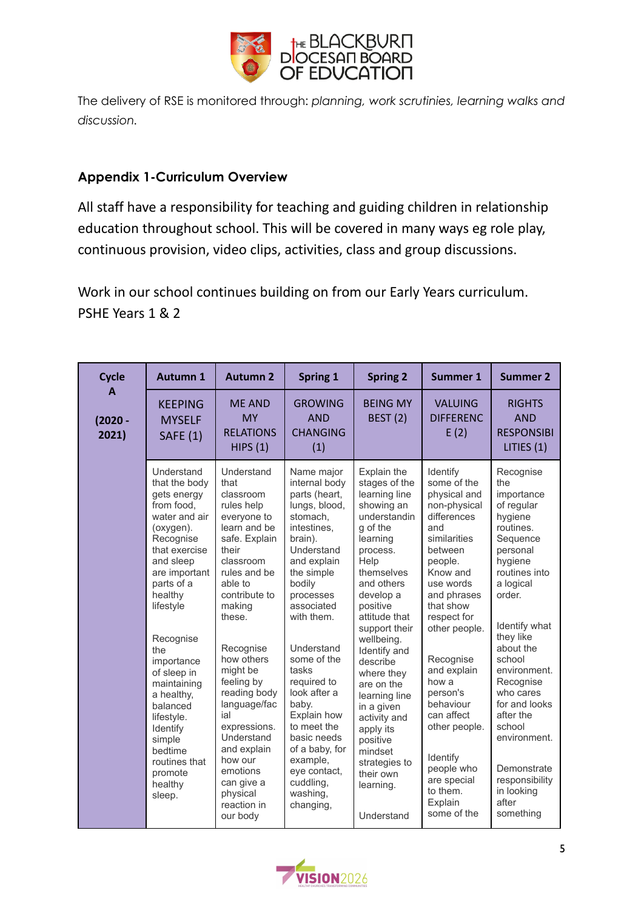

The delivery of RSE is monitored through: *planning, work scrutinies, learning walks and discussion.*

#### **Appendix 1-Curriculum Overview**

All staff have a responsibility for teaching and guiding children in relationship education throughout school. This will be covered in many ways eg role play, continuous provision, video clips, activities, class and group discussions.

Work in our school continues building on from our Early Years curriculum. PSHE Years 1 & 2

| <b>Cycle</b>            | <b>Autumn 1</b>                                                                                                                                                                                                                                                                                                                                                                    | <b>Autumn 2</b>                                                                                                                                                                                                                                                                                                                                                                                          | <b>Spring 1</b>                                                                                                                                                                                                                                                                                                                                                                                                  | <b>Spring 2</b>                                                                                                                                                                                                                                                                                                                                                                                                                  | Summer 1                                                                                                                                                                                                                                                                                                                                                                             | <b>Summer 2</b>                                                                                                                                                                                                                                                                                                                                                             |
|-------------------------|------------------------------------------------------------------------------------------------------------------------------------------------------------------------------------------------------------------------------------------------------------------------------------------------------------------------------------------------------------------------------------|----------------------------------------------------------------------------------------------------------------------------------------------------------------------------------------------------------------------------------------------------------------------------------------------------------------------------------------------------------------------------------------------------------|------------------------------------------------------------------------------------------------------------------------------------------------------------------------------------------------------------------------------------------------------------------------------------------------------------------------------------------------------------------------------------------------------------------|----------------------------------------------------------------------------------------------------------------------------------------------------------------------------------------------------------------------------------------------------------------------------------------------------------------------------------------------------------------------------------------------------------------------------------|--------------------------------------------------------------------------------------------------------------------------------------------------------------------------------------------------------------------------------------------------------------------------------------------------------------------------------------------------------------------------------------|-----------------------------------------------------------------------------------------------------------------------------------------------------------------------------------------------------------------------------------------------------------------------------------------------------------------------------------------------------------------------------|
| A<br>$(2020 -$<br>2021) | <b>KEEPING</b><br><b>MYSELF</b><br><b>SAFE (1)</b>                                                                                                                                                                                                                                                                                                                                 | <b>ME AND</b><br><b>MY</b><br><b>RELATIONS</b><br>HIPS(1)                                                                                                                                                                                                                                                                                                                                                | <b>GROWING</b><br><b>AND</b><br><b>CHANGING</b><br>(1)                                                                                                                                                                                                                                                                                                                                                           | <b>BEING MY</b><br><b>BEST (2)</b>                                                                                                                                                                                                                                                                                                                                                                                               | <b>VALUING</b><br><b>DIFFERENC</b><br>E(2)                                                                                                                                                                                                                                                                                                                                           | <b>RIGHTS</b><br><b>AND</b><br><b>RESPONSIBI</b><br>LITIES (1)                                                                                                                                                                                                                                                                                                              |
|                         | Understand<br>that the body<br>gets energy<br>from food.<br>water and air<br>(oxygen).<br>Recognise<br>that exercise<br>and sleep<br>are important<br>parts of a<br>healthy<br>lifestyle<br>Recognise<br>the<br>importance<br>of sleep in<br>maintaining<br>a healthy,<br>balanced<br>lifestyle.<br>Identify<br>simple<br>bedtime<br>routines that<br>promote<br>healthy<br>sleep. | Understand<br>that<br>classroom<br>rules help<br>everyone to<br>learn and be<br>safe. Explain<br>their<br>classroom<br>rules and be<br>able to<br>contribute to<br>making<br>these.<br>Recognise<br>how others<br>might be<br>feeling by<br>reading body<br>language/fac<br>ial<br>expressions.<br>Understand<br>and explain<br>how our<br>emotions<br>can give a<br>physical<br>reaction in<br>our body | Name major<br>internal body<br>parts (heart,<br>lungs, blood,<br>stomach,<br>intestines,<br>brain).<br>Understand<br>and explain<br>the simple<br>bodily<br>processes<br>associated<br>with them.<br>Understand<br>some of the<br>tasks<br>required to<br>look after a<br>baby.<br>Explain how<br>to meet the<br>basic needs<br>of a baby, for<br>example,<br>eye contact,<br>cuddling,<br>washing,<br>changing, | Explain the<br>stages of the<br>learning line<br>showing an<br>understandin<br>g of the<br>learning<br>process.<br>Help<br>themselves<br>and others<br>develop a<br>positive<br>attitude that<br>support their<br>wellbeing.<br>Identify and<br>describe<br>where they<br>are on the<br>learning line<br>in a given<br>activity and<br>apply its<br>positive<br>mindset<br>strategies to<br>their own<br>learning.<br>Understand | Identify<br>some of the<br>physical and<br>non-physical<br>differences<br>and<br>similarities<br>between<br>people.<br>Know and<br>use words<br>and phrases<br>that show<br>respect for<br>other people.<br>Recognise<br>and explain<br>how a<br>person's<br>behaviour<br>can affect<br>other people.<br>Identify<br>people who<br>are special<br>to them.<br>Explain<br>some of the | Recognise<br>the<br>importance<br>of regular<br>hygiene<br>routines.<br>Sequence<br>personal<br>hygiene<br>routines into<br>a logical<br>order.<br>Identify what<br>they like<br>about the<br>school<br>environment.<br>Recognise<br>who cares<br>for and looks<br>after the<br>school<br>environment.<br>Demonstrate<br>responsibility<br>in looking<br>after<br>something |

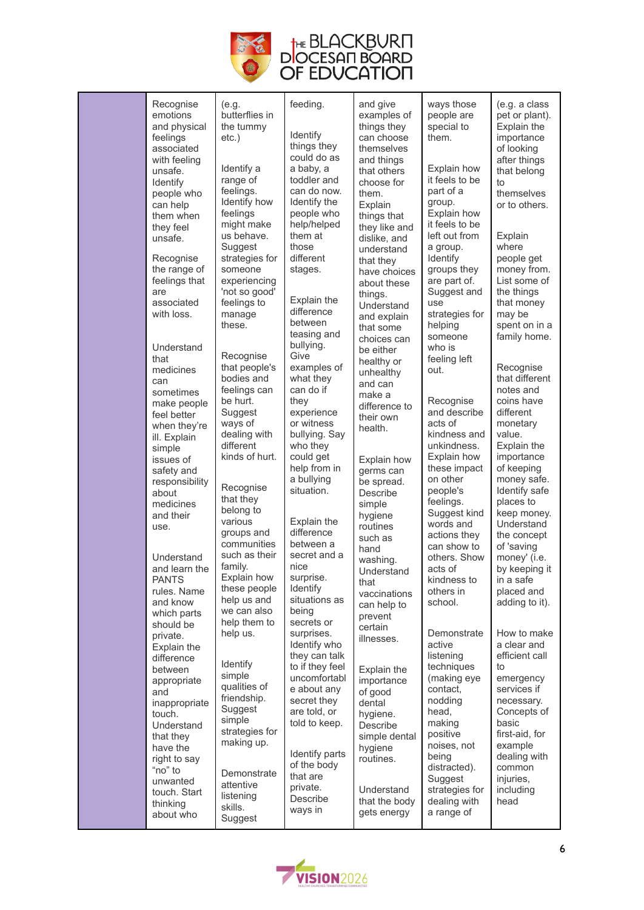

| Recognise<br>emotions<br>and physical<br>feelings<br>associated<br>with feeling<br>unsafe.<br>Identify<br>people who<br>can help<br>them when<br>they feel<br>unsafe.<br>Recognise<br>the range of<br>feelings that<br>are<br>associated<br>with loss.<br>Understand<br>that<br>medicines<br>can<br>sometimes<br>make people<br>feel better<br>when they're<br>ill. Explain<br>simple<br>issues of<br>safety and<br>responsibility<br>about<br>medicines<br>and their<br>use.<br>Understand<br>and learn the<br><b>PANTS</b><br>rules. Name<br>and know<br>which parts<br>should be<br>private.<br>Explain the<br>difference<br>between<br>appropriate<br>and<br>inappropriate | (e.g.<br>butterflies in<br>the tummy<br>$etc.$ )<br>Identify a<br>range of<br>feelings.<br>Identify how<br>feelings<br>might make<br>us behave.<br>Suggest<br>strategies for<br>someone<br>experiencing<br>'not so good'<br>feelings to<br>manage<br>these.<br>Recognise<br>that people's<br>bodies and<br>feelings can<br>be hurt.<br>Suggest<br>ways of<br>dealing with<br>different<br>kinds of hurt.<br>Recognise<br>that they<br>belong to<br>various<br>groups and<br>communities<br>such as their<br>family.<br>Explain how<br>these people<br>help us and<br>we can also<br>help them to<br>help us.<br>Identify<br>simple<br>qualities of<br>friendship. | feeding.<br>Identify<br>things they<br>could do as<br>a baby, a<br>toddler and<br>can do now.<br>Identify the<br>people who<br>help/helped<br>them at<br>those<br>different<br>stages.<br>Explain the<br>difference<br>between<br>teasing and<br>bullying.<br>Give<br>examples of<br>what they<br>can do if<br>they<br>experience<br>or witness<br>bullying. Say<br>who they<br>could get<br>help from in<br>a bullying<br>situation.<br>Explain the<br>difference<br>between a<br>secret and a<br>nice<br>surprise.<br>Identify<br>situations as<br>being<br>secrets or<br>surprises.<br>Identify who<br>they can talk<br>to if they feel<br>uncomfortabl<br>e about any<br>secret they | and give<br>examples of<br>things they<br>can choose<br>themselves<br>and things<br>that others<br>choose for<br>them.<br>Explain<br>things that<br>they like and<br>dislike, and<br>understand<br>that they<br>have choices<br>about these<br>things.<br>Understand<br>and explain<br>that some<br>choices can<br>be either<br>healthy or<br>unhealthy<br>and can<br>make a<br>difference to<br>their own<br>health.<br>Explain how<br>germs can<br>be spread.<br>Describe<br>simple<br>hygiene<br>routines<br>such as<br>hand<br>washing.<br>Understand<br>that<br>vaccinations<br>can help to<br>prevent<br>certain<br>illnesses.<br>Explain the<br>importance<br>of good<br>dental | ways those<br>people are<br>special to<br>them.<br>Explain how<br>it feels to be<br>part of a<br>group.<br>Explain how<br>it feels to be<br>left out from<br>a group.<br>Identify<br>groups they<br>are part of.<br>Suggest and<br>use<br>strategies for<br>helping<br>someone<br>who is<br>feeling left<br>out.<br>Recognise<br>and describe<br>acts of<br>kindness and<br>unkindness.<br>Explain how<br>these impact<br>on other<br>people's<br>feelings.<br>Suggest kind<br>words and<br>actions they<br>can show to<br>others. Show<br>acts of<br>kindness to<br>others in<br>school.<br>Demonstrate<br>active<br>listening<br>techniques<br>(making eye<br>contact.<br>nodding | (e.g. a class<br>pet or plant).<br>Explain the<br>importance<br>of looking<br>after things<br>that belong<br>to<br>themselves<br>or to others.<br>Explain<br>where<br>people get<br>money from.<br>List some of<br>the things<br>that money<br>may be<br>spent on in a<br>family home.<br>Recognise<br>that different<br>notes and<br>coins have<br>different<br>monetary<br>value.<br>Explain the<br>importance<br>of keeping<br>money safe.<br>Identify safe<br>places to<br>keep money.<br>Understand<br>the concept<br>of 'saving<br>money' (i.e.<br>by keeping it<br>in a safe<br>placed and<br>adding to it).<br>How to make<br>a clear and<br>efficient call<br>to<br>emergency<br>services if<br>necessary. |
|--------------------------------------------------------------------------------------------------------------------------------------------------------------------------------------------------------------------------------------------------------------------------------------------------------------------------------------------------------------------------------------------------------------------------------------------------------------------------------------------------------------------------------------------------------------------------------------------------------------------------------------------------------------------------------|-------------------------------------------------------------------------------------------------------------------------------------------------------------------------------------------------------------------------------------------------------------------------------------------------------------------------------------------------------------------------------------------------------------------------------------------------------------------------------------------------------------------------------------------------------------------------------------------------------------------------------------------------------------------|------------------------------------------------------------------------------------------------------------------------------------------------------------------------------------------------------------------------------------------------------------------------------------------------------------------------------------------------------------------------------------------------------------------------------------------------------------------------------------------------------------------------------------------------------------------------------------------------------------------------------------------------------------------------------------------|----------------------------------------------------------------------------------------------------------------------------------------------------------------------------------------------------------------------------------------------------------------------------------------------------------------------------------------------------------------------------------------------------------------------------------------------------------------------------------------------------------------------------------------------------------------------------------------------------------------------------------------------------------------------------------------|-------------------------------------------------------------------------------------------------------------------------------------------------------------------------------------------------------------------------------------------------------------------------------------------------------------------------------------------------------------------------------------------------------------------------------------------------------------------------------------------------------------------------------------------------------------------------------------------------------------------------------------------------------------------------------------|---------------------------------------------------------------------------------------------------------------------------------------------------------------------------------------------------------------------------------------------------------------------------------------------------------------------------------------------------------------------------------------------------------------------------------------------------------------------------------------------------------------------------------------------------------------------------------------------------------------------------------------------------------------------------------------------------------------------|
| touch.<br>Understand                                                                                                                                                                                                                                                                                                                                                                                                                                                                                                                                                                                                                                                           | Suggest<br>simple<br>strategies for                                                                                                                                                                                                                                                                                                                                                                                                                                                                                                                                                                                                                               | are told, or<br>told to keep.                                                                                                                                                                                                                                                                                                                                                                                                                                                                                                                                                                                                                                                            | hygiene.<br>Describe                                                                                                                                                                                                                                                                                                                                                                                                                                                                                                                                                                                                                                                                   | head,<br>making<br>positive                                                                                                                                                                                                                                                                                                                                                                                                                                                                                                                                                                                                                                                         | Concepts of<br>basic<br>first-aid, for                                                                                                                                                                                                                                                                                                                                                                                                                                                                                                                                                                                                                                                                              |
| that they<br>have the<br>right to say<br>"no" to<br>unwanted<br>touch. Start<br>thinking<br>about who                                                                                                                                                                                                                                                                                                                                                                                                                                                                                                                                                                          | making up.<br>Demonstrate<br>attentive<br>listening<br>skills.<br>Suggest                                                                                                                                                                                                                                                                                                                                                                                                                                                                                                                                                                                         | Identify parts<br>of the body<br>that are<br>private.<br>Describe<br>ways in                                                                                                                                                                                                                                                                                                                                                                                                                                                                                                                                                                                                             | simple dental<br>hygiene<br>routines.<br>Understand<br>that the body<br>gets energy                                                                                                                                                                                                                                                                                                                                                                                                                                                                                                                                                                                                    | noises, not<br>being<br>distracted).<br>Suggest<br>strategies for<br>dealing with<br>a range of                                                                                                                                                                                                                                                                                                                                                                                                                                                                                                                                                                                     | example<br>dealing with<br>common<br>injuries,<br>including<br>head                                                                                                                                                                                                                                                                                                                                                                                                                                                                                                                                                                                                                                                 |

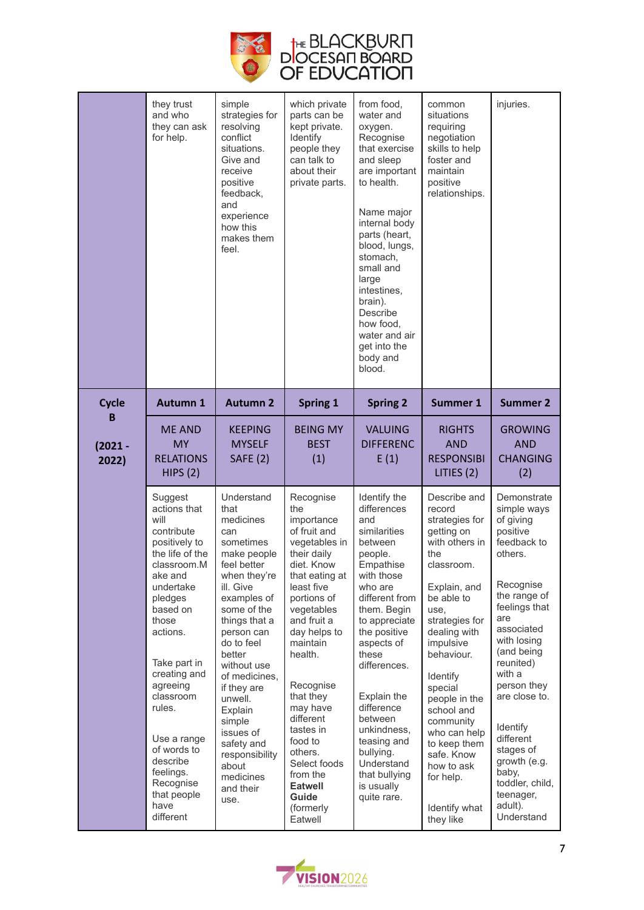

|                    | they trust<br>and who<br>they can ask<br>for help.                                                                                                                                                                                                                                                                                              | simple<br>strategies for<br>resolving<br>conflict<br>situations.<br>Give and<br>receive<br>positive<br>feedback,<br>and<br>experience<br>how this<br>makes them<br>feel.                                                                                                                                                                                                   | which private<br>parts can be<br>kept private.<br>Identify<br>people they<br>can talk to<br>about their<br>private parts.                                                                                                                                                                                                                                                            | from food,<br>water and<br>oxygen.<br>Recognise<br>that exercise<br>and sleep<br>are important<br>to health.<br>Name major<br>internal body<br>parts (heart,<br>blood, lungs,<br>stomach,<br>small and<br>large<br>intestines,<br>brain).<br>Describe<br>how food,<br>water and air<br>get into the<br>body and<br>blood.                                              | common<br>situations<br>requiring<br>negotiation<br>skills to help<br>foster and<br>maintain<br>positive<br>relationships.                                                                                                                                                                                                                                                 | injuries.                                                                                                                                                                                                                                                                                                                                                    |
|--------------------|-------------------------------------------------------------------------------------------------------------------------------------------------------------------------------------------------------------------------------------------------------------------------------------------------------------------------------------------------|----------------------------------------------------------------------------------------------------------------------------------------------------------------------------------------------------------------------------------------------------------------------------------------------------------------------------------------------------------------------------|--------------------------------------------------------------------------------------------------------------------------------------------------------------------------------------------------------------------------------------------------------------------------------------------------------------------------------------------------------------------------------------|------------------------------------------------------------------------------------------------------------------------------------------------------------------------------------------------------------------------------------------------------------------------------------------------------------------------------------------------------------------------|----------------------------------------------------------------------------------------------------------------------------------------------------------------------------------------------------------------------------------------------------------------------------------------------------------------------------------------------------------------------------|--------------------------------------------------------------------------------------------------------------------------------------------------------------------------------------------------------------------------------------------------------------------------------------------------------------------------------------------------------------|
| <b>Cycle</b><br>В  | <b>Autumn 1</b>                                                                                                                                                                                                                                                                                                                                 | <b>Autumn 2</b>                                                                                                                                                                                                                                                                                                                                                            | <b>Spring 1</b>                                                                                                                                                                                                                                                                                                                                                                      | <b>Spring 2</b>                                                                                                                                                                                                                                                                                                                                                        | Summer 1                                                                                                                                                                                                                                                                                                                                                                   | <b>Summer 2</b>                                                                                                                                                                                                                                                                                                                                              |
| $(2021 -$<br>2022) | <b>ME AND</b><br>MY<br><b>RELATIONS</b><br>HIPS(2)                                                                                                                                                                                                                                                                                              | <b>KEEPING</b><br><b>MYSELF</b><br><b>SAFE (2)</b>                                                                                                                                                                                                                                                                                                                         | <b>BEING MY</b><br><b>BEST</b><br>(1)                                                                                                                                                                                                                                                                                                                                                | <b>VALUING</b><br><b>DIFFERENC</b><br>E(1)                                                                                                                                                                                                                                                                                                                             | <b>RIGHTS</b><br><b>AND</b><br><b>RESPONSIBI</b><br>LITIES $(2)$                                                                                                                                                                                                                                                                                                           | <b>GROWING</b><br><b>AND</b><br><b>CHANGING</b><br>(2)                                                                                                                                                                                                                                                                                                       |
|                    | Suggest<br>actions that<br>will<br>contribute<br>positively to<br>the life of the<br>classroom.M<br>ake and<br>undertake<br>pledges<br>based on<br>those<br>actions.<br>Take part in<br>creating and<br>agreeing<br>classroom<br>rules.<br>Use a range<br>of words to<br>describe<br>feelings.<br>Recognise<br>that people<br>have<br>different | Understand<br>that<br>medicines<br>can<br>sometimes<br>make people<br>feel better<br>when they're<br>ill. Give<br>examples of<br>some of the<br>things that a<br>person can<br>do to feel<br>better<br>without use<br>of medicines.<br>if they are<br>unwell.<br>Explain<br>simple<br>issues of<br>safety and<br>responsibility<br>about<br>medicines<br>and their<br>use. | Recognise<br>the<br>importance<br>of fruit and<br>vegetables in<br>their daily<br>diet. Know<br>that eating at<br>least five<br>portions of<br>vegetables<br>and fruit a<br>day helps to<br>maintain<br>health.<br>Recognise<br>that they<br>may have<br>different<br>tastes in<br>food to<br>others.<br>Select foods<br>from the<br><b>Eatwell</b><br>Guide<br>(formerly<br>Eatwell | Identify the<br>differences<br>and<br>similarities<br>between<br>people.<br>Empathise<br>with those<br>who are<br>different from<br>them. Begin<br>to appreciate<br>the positive<br>aspects of<br>these<br>differences.<br>Explain the<br>difference<br>between<br>unkindness,<br>teasing and<br>bullying.<br>Understand<br>that bullying<br>is usually<br>quite rare. | Describe and<br>record<br>strategies for<br>getting on<br>with others in<br>the<br>classroom.<br>Explain, and<br>be able to<br>use.<br>strategies for<br>dealing with<br>impulsive<br>behaviour.<br>Identify<br>special<br>people in the<br>school and<br>community<br>who can help<br>to keep them<br>safe. Know<br>how to ask<br>for help.<br>Identify what<br>they like | Demonstrate<br>simple ways<br>of giving<br>positive<br>feedback to<br>others.<br>Recognise<br>the range of<br>feelings that<br>are<br>associated<br>with losing<br>(and being<br>reunited)<br>with a<br>person they<br>are close to.<br>Identify<br>different<br>stages of<br>growth (e.g.<br>baby,<br>toddler, child,<br>teenager,<br>adult).<br>Understand |

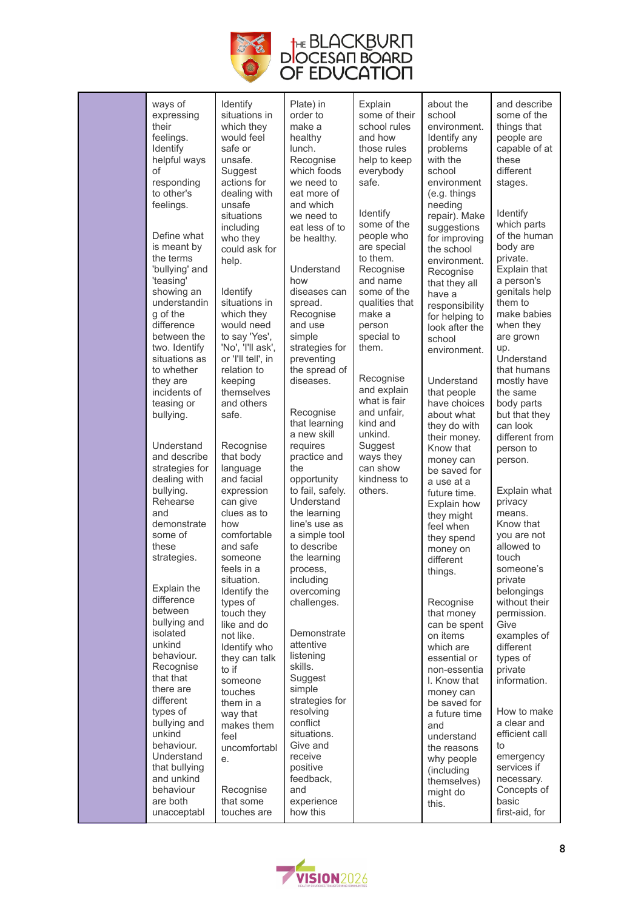

| ways of<br>expressing<br>their<br>feelings.<br>Identify<br>helpful ways<br>Ωf<br>responding                                                                                                                                                          | Identify<br>situations in<br>which they<br>would feel<br>safe or<br>unsafe.<br>Suggest<br>actions for                                                                                                                                                | Plate) in<br>order to<br>make a<br>healthy<br>lunch.<br>Recognise<br>which foods<br>we need to                                                                                                                          | Explain<br>some of their<br>school rules<br>and how<br>those rules<br>help to keep<br>everybody<br>safe.                                                                                          | about the<br>school<br>environment.<br>Identify any<br>problems<br>with the<br>school<br>environment                                                                                                                                                        | and describe<br>some of the<br>things that<br>people are<br>capable of at<br>these<br>different<br>stages.                                                                                                                        |
|------------------------------------------------------------------------------------------------------------------------------------------------------------------------------------------------------------------------------------------------------|------------------------------------------------------------------------------------------------------------------------------------------------------------------------------------------------------------------------------------------------------|-------------------------------------------------------------------------------------------------------------------------------------------------------------------------------------------------------------------------|---------------------------------------------------------------------------------------------------------------------------------------------------------------------------------------------------|-------------------------------------------------------------------------------------------------------------------------------------------------------------------------------------------------------------------------------------------------------------|-----------------------------------------------------------------------------------------------------------------------------------------------------------------------------------------------------------------------------------|
| to other's<br>feelings.<br>Define what<br>is meant by<br>the terms<br>'bullying' and<br>'teasing'<br>showing an<br>understandin<br>g of the<br>difference<br>between the<br>two. Identify<br>situations as<br>to whether<br>they are<br>incidents of | dealing with<br>unsafe<br>situations<br>including<br>who they<br>could ask for<br>help.<br>Identify<br>situations in<br>which they<br>would need<br>to say 'Yes',<br>'No', 'I'll ask',<br>or 'I'll tell', in<br>relation to<br>keeping<br>themselves | eat more of<br>and which<br>we need to<br>eat less of to<br>be healthy.<br>Understand<br>how<br>diseases can<br>spread.<br>Recognise<br>and use<br>simple<br>strategies for<br>preventing<br>the spread of<br>diseases. | Identify<br>some of the<br>people who<br>are special<br>to them.<br>Recognise<br>and name<br>some of the<br>qualities that<br>make a<br>person<br>special to<br>them.<br>Recognise<br>and explain | (e.g. things<br>needing<br>repair). Make<br>suggestions<br>for improving<br>the school<br>environment.<br>Recognise<br>that they all<br>have a<br>responsibility<br>for helping to<br>look after the<br>school<br>environment.<br>Understand<br>that people | Identify<br>which parts<br>of the human<br>body are<br>private.<br>Explain that<br>a person's<br>genitals help<br>them to<br>make babies<br>when they<br>are grown<br>up.<br>Understand<br>that humans<br>mostly have<br>the same |
| teasing or<br>bullying.<br>Understand<br>and describe<br>strategies for                                                                                                                                                                              | and others<br>safe.<br>Recognise<br>that body<br>language                                                                                                                                                                                            | Recognise<br>that learning<br>a new skill<br>requires<br>practice and<br>the                                                                                                                                            | what is fair<br>and unfair,<br>kind and<br>unkind.<br>Suggest<br>ways they<br>can show                                                                                                            | have choices<br>about what<br>they do with<br>their money.<br>Know that<br>money can                                                                                                                                                                        | body parts<br>but that they<br>can look<br>different from<br>person to<br>person.                                                                                                                                                 |
| dealing with<br>bullying.<br>Rehearse<br>and<br>demonstrate<br>some of<br>these<br>strategies.<br>Explain the                                                                                                                                        | and facial<br>expression<br>can give<br>clues as to<br>how<br>comfortable<br>and safe<br>someone<br>feels in a<br>situation.<br>Identify the                                                                                                         | opportunity<br>to fail, safely.<br>Understand<br>the learning<br>line's use as<br>a simple tool<br>to describe<br>the learning<br>process,<br>including<br>overcoming                                                   | kindness to<br>others.                                                                                                                                                                            | be saved for<br>a use at a<br>future time.<br>Explain how<br>they might<br>feel when<br>they spend<br>money on<br>different<br>things.                                                                                                                      | Explain what<br>privacy<br>means.<br>Know that<br>you are not<br>allowed to<br>touch<br>someone's<br>private<br>belongings                                                                                                        |
| difference<br>between<br>bullying and<br>isolated<br>unkind<br>behaviour.<br>Recognise<br>that that<br>there are<br>different                                                                                                                        | types of<br>touch they<br>like and do<br>not like.<br>Identify who<br>they can talk<br>to if<br>someone<br>touches<br>them in a                                                                                                                      | challenges.<br>Demonstrate<br>attentive<br>listening<br>skills.<br>Suggest<br>simple<br>strategies for                                                                                                                  |                                                                                                                                                                                                   | Recognise<br>that money<br>can be spent<br>on items<br>which are<br>essential or<br>non-essentia<br>I. Know that<br>money can<br>be saved for                                                                                                               | without their<br>permission.<br>Give<br>examples of<br>different<br>types of<br>private<br>information.                                                                                                                           |
| types of<br>bullying and<br>unkind<br>behaviour.<br>Understand<br>that bullying<br>and unkind<br>behaviour<br>are both<br>unacceptabl                                                                                                                | way that<br>makes them<br>feel<br>uncomfortabl<br>е.<br>Recognise<br>that some<br>touches are                                                                                                                                                        | resolving<br>conflict<br>situations.<br>Give and<br>receive<br>positive<br>feedback,<br>and<br>experience<br>how this                                                                                                   |                                                                                                                                                                                                   | a future time<br>and<br>understand<br>the reasons<br>why people<br>(including<br>themselves)<br>might do<br>this.                                                                                                                                           | How to make<br>a clear and<br>efficient call<br>to<br>emergency<br>services if<br>necessary.<br>Concepts of<br>basic<br>first-aid, for                                                                                            |

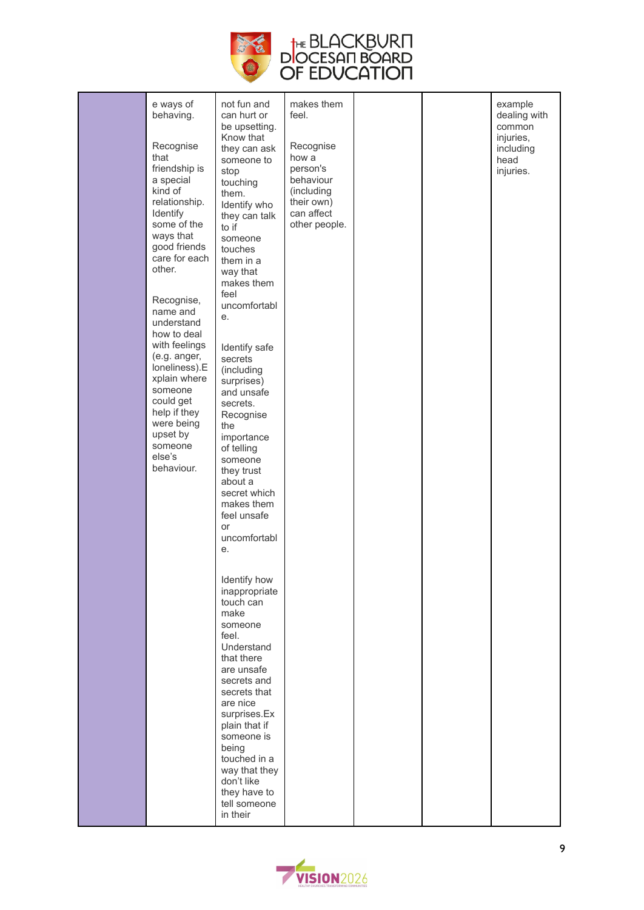

| e ways of<br>behaving.<br>Recognise<br>that<br>friendship is<br>a special<br>kind of<br>relationship.<br>Identify<br>some of the<br>ways that<br>good friends<br>care for each<br>other.<br>Recognise,<br>name and<br>understand<br>how to deal<br>with feelings<br>(e.g. anger,<br>loneliness).E<br>xplain where<br>someone<br>could get<br>help if they<br>were being<br>upset by<br>someone<br>else's<br>behaviour. | not fun and<br>can hurt or<br>be upsetting.<br>Know that<br>they can ask<br>someone to<br>stop<br>touching<br>them.<br>Identify who<br>they can talk<br>to if<br>someone<br>touches<br>them in a<br>way that<br>makes them<br>feel<br>uncomfortabl<br>е.<br>Identify safe<br>secrets<br>(including<br>surprises)<br>and unsafe<br>secrets.<br>Recognise<br>the<br>importance<br>of telling<br>someone<br>they trust<br>about a<br>secret which<br>makes them<br>feel unsafe<br>or<br>uncomfortabl<br>е. | makes them<br>feel.<br>Recognise<br>how a<br>person's<br>behaviour<br>(including<br>their own)<br>can affect<br>other people. |  | example<br>dealing with<br>common<br>injuries,<br>including<br>head<br>injuries. |
|------------------------------------------------------------------------------------------------------------------------------------------------------------------------------------------------------------------------------------------------------------------------------------------------------------------------------------------------------------------------------------------------------------------------|---------------------------------------------------------------------------------------------------------------------------------------------------------------------------------------------------------------------------------------------------------------------------------------------------------------------------------------------------------------------------------------------------------------------------------------------------------------------------------------------------------|-------------------------------------------------------------------------------------------------------------------------------|--|----------------------------------------------------------------------------------|
|                                                                                                                                                                                                                                                                                                                                                                                                                        | Identify how<br>inappropriate<br>touch can<br>make<br>someone<br>feel.<br>Understand<br>that there<br>are unsafe<br>secrets and<br>secrets that<br>are nice<br>surprises.Ex<br>plain that if<br>someone is<br>being<br>touched in a<br>way that they<br>don't like<br>they have to<br>tell someone<br>in their                                                                                                                                                                                          |                                                                                                                               |  |                                                                                  |

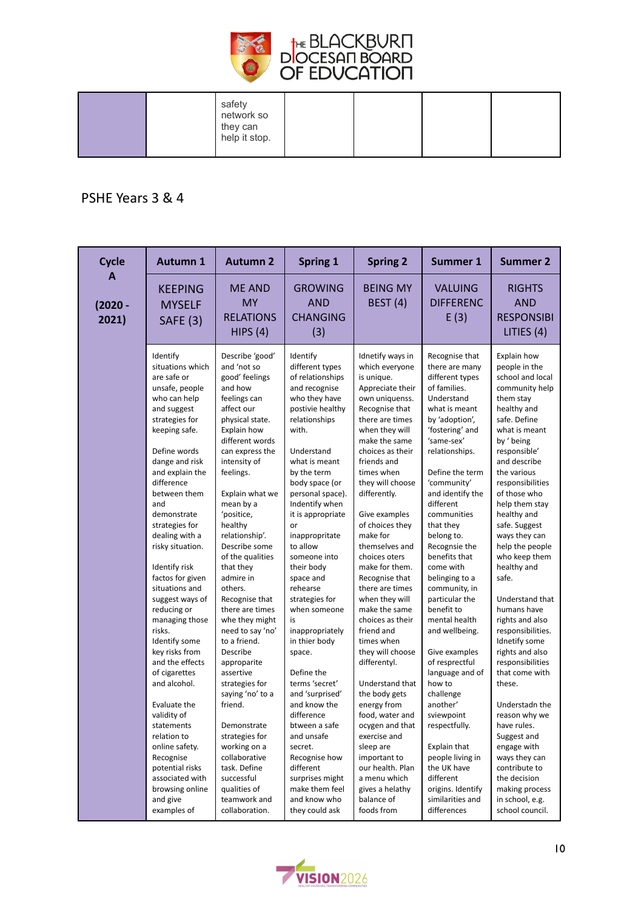

#### PSHE Years 3 & 4

| <b>Cycle</b>            | <b>Autumn 1</b>                                                                                                                                                                                                                                                                                                                                                                                                                                                                                                                                                                                                                                                                             | <b>Autumn 2</b>                                                                                                                                                                                                                                                                                                                                                                                                                                                                                                                                                                                                                                                                           | <b>Spring 1</b>                                                                                                                                                                                                                                                                                                                                                                                                                                                                                                                                                                                                                                                             | <b>Spring 2</b>                                                                                                                                                                                                                                                                                                                                                                                                                                                                                                                                                                                                                                                                                                                               | <b>Summer 1</b>                                                                                                                                                                                                                                                                                                                                                                                                                                                                                                                                                                                                                                                                           | <b>Summer 2</b>                                                                                                                                                                                                                                                                                                                                                                                                                                                                                                                                                                                                                                                                                                         |
|-------------------------|---------------------------------------------------------------------------------------------------------------------------------------------------------------------------------------------------------------------------------------------------------------------------------------------------------------------------------------------------------------------------------------------------------------------------------------------------------------------------------------------------------------------------------------------------------------------------------------------------------------------------------------------------------------------------------------------|-------------------------------------------------------------------------------------------------------------------------------------------------------------------------------------------------------------------------------------------------------------------------------------------------------------------------------------------------------------------------------------------------------------------------------------------------------------------------------------------------------------------------------------------------------------------------------------------------------------------------------------------------------------------------------------------|-----------------------------------------------------------------------------------------------------------------------------------------------------------------------------------------------------------------------------------------------------------------------------------------------------------------------------------------------------------------------------------------------------------------------------------------------------------------------------------------------------------------------------------------------------------------------------------------------------------------------------------------------------------------------------|-----------------------------------------------------------------------------------------------------------------------------------------------------------------------------------------------------------------------------------------------------------------------------------------------------------------------------------------------------------------------------------------------------------------------------------------------------------------------------------------------------------------------------------------------------------------------------------------------------------------------------------------------------------------------------------------------------------------------------------------------|-------------------------------------------------------------------------------------------------------------------------------------------------------------------------------------------------------------------------------------------------------------------------------------------------------------------------------------------------------------------------------------------------------------------------------------------------------------------------------------------------------------------------------------------------------------------------------------------------------------------------------------------------------------------------------------------|-------------------------------------------------------------------------------------------------------------------------------------------------------------------------------------------------------------------------------------------------------------------------------------------------------------------------------------------------------------------------------------------------------------------------------------------------------------------------------------------------------------------------------------------------------------------------------------------------------------------------------------------------------------------------------------------------------------------------|
| A<br>$(2020 -$<br>2021) | <b>KEEPING</b><br><b>MYSELF</b><br><b>SAFE (3)</b>                                                                                                                                                                                                                                                                                                                                                                                                                                                                                                                                                                                                                                          | <b>ME AND</b><br><b>MY</b><br><b>RELATIONS</b><br>HIPS(4)                                                                                                                                                                                                                                                                                                                                                                                                                                                                                                                                                                                                                                 | <b>GROWING</b><br><b>AND</b><br><b>CHANGING</b><br>(3)                                                                                                                                                                                                                                                                                                                                                                                                                                                                                                                                                                                                                      | <b>BEING MY</b><br><b>BEST (4)</b>                                                                                                                                                                                                                                                                                                                                                                                                                                                                                                                                                                                                                                                                                                            | <b>VALUING</b><br><b>DIFFERENC</b><br>E(3)                                                                                                                                                                                                                                                                                                                                                                                                                                                                                                                                                                                                                                                | <b>RIGHTS</b><br><b>AND</b><br><b>RESPONSIBI</b><br>LITIES (4)                                                                                                                                                                                                                                                                                                                                                                                                                                                                                                                                                                                                                                                          |
|                         | Identify<br>situations which<br>are safe or<br>unsafe, people<br>who can help<br>and suggest<br>strategies for<br>keeping safe.<br>Define words<br>dange and risk<br>and explain the<br>difference<br>between them<br>and<br>demonstrate<br>strategies for<br>dealing with a<br>risky situation.<br>Identify risk<br>factos for given<br>situations and<br>suggest ways of<br>reducing or<br>managing those<br>risks.<br>Identify some<br>key risks from<br>and the effects<br>of cigarettes<br>and alcohol.<br>Evaluate the<br>validity of<br>statements<br>relation to<br>online safety.<br>Recognise<br>potential risks<br>associated with<br>browsing online<br>and give<br>examples of | Describe 'good'<br>and 'not so<br>good' feelings<br>and how<br>feelings can<br>affect our<br>physical state.<br>Explain how<br>different words<br>can express the<br>intensity of<br>feelings.<br>Explain what we<br>mean by a<br>'positice,<br>healthy<br>relationship'.<br>Describe some<br>of the qualities<br>that they<br>admire in<br>others.<br>Recognise that<br>there are times<br>whe they might<br>need to say 'no'<br>to a friend.<br>Describe<br>approparite<br>assertive<br>strategies for<br>saying 'no' to a<br>friend.<br>Demonstrate<br>strategies for<br>working on a<br>collaborative<br>task. Define<br>successful<br>qualities of<br>teamwork and<br>collaboration. | Identify<br>different types<br>of relationships<br>and recognise<br>who they have<br>postivie healthy<br>relationships<br>with.<br>Understand<br>what is meant<br>by the term<br>body space (or<br>personal space).<br>Indentify when<br>it is appropriate<br>or<br>inappropritate<br>to allow<br>someone into<br>their body<br>space and<br>rehearse<br>strategies for<br>when someone<br>is<br>inappropriately<br>in thier body<br>space.<br>Define the<br>terms 'secret'<br>and 'surprised'<br>and know the<br>difference<br>btween a safe<br>and unsafe<br>secret.<br>Recognise how<br>different<br>surprises might<br>make them feel<br>and know who<br>they could ask | Idnetify ways in<br>which everyone<br>is unique.<br>Appreciate their<br>own uniquenss.<br>Recognise that<br>there are times<br>when they will<br>make the same<br>choices as their<br>friends and<br>times when<br>they will choose<br>differently.<br>Give examples<br>of choices they<br>make for<br>themselves and<br>choices oters<br>make for them.<br>Recognise that<br>there are times<br>when they will<br>make the same<br>choices as their<br>friend and<br>times when<br>they will choose<br>differentyl.<br>Understand that<br>the body gets<br>energy from<br>food, water and<br>ocygen and that<br>exercise and<br>sleep are<br>important to<br>our health. Plan<br>a menu which<br>gives a helathy<br>balance of<br>foods from | Recognise that<br>there are many<br>different types<br>of families.<br>Understand<br>what is meant<br>by 'adoption',<br>'fostering' and<br>'same-sex'<br>relationships.<br>Define the term<br>'community'<br>and identify the<br>different<br>communities<br>that they<br>belong to.<br>Recognsie the<br>benefits that<br>come with<br>belinging to a<br>community, in<br>particular the<br>benefit to<br>mental health<br>and wellbeing.<br>Give examples<br>of resprectful<br>language and of<br>how to<br>challenge<br>another'<br>sviewpoint<br>respectfully.<br>Explain that<br>people living in<br>the UK have<br>different<br>origins. Identify<br>similarities and<br>differences | Explain how<br>people in the<br>school and local<br>community help<br>them stay<br>healthy and<br>safe. Define<br>what is meant<br>by ' being<br>responsible'<br>and describe<br>the various<br>responsibilities<br>of those who<br>help them stay<br>healthy and<br>safe. Suggest<br>ways they can<br>help the people<br>who keep them<br>healthy and<br>safe.<br>Understand that<br>humans have<br>rights and also<br>responsibilities.<br>Idnetify some<br>rights and also<br>responsibilities<br>that come with<br>these.<br>Understadn the<br>reason why we<br>have rules.<br>Suggest and<br>engage with<br>ways they can<br>contribute to<br>the decision<br>making process<br>in school, e.g.<br>school council. |

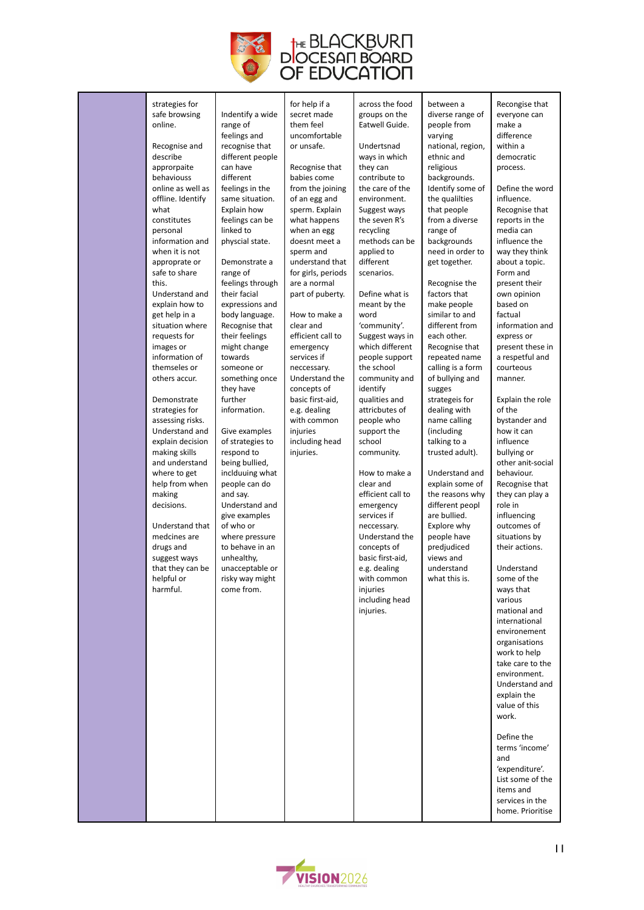

| strategies for<br>safe browsing<br>online.<br>Recognise and<br>describe<br>approrpaite<br>behaviouss<br>online as well as<br>offline. Identify<br>what<br>constitutes<br>personal<br>information and<br>when it is not<br>approprate or<br>safe to share<br>this.<br>Understand and<br>explain how to<br>get help in a<br>situation where<br>requests for<br>images or<br>information of<br>themseles or<br>others accur.<br>Demonstrate<br>strategies for<br>assessing risks.<br>Understand and<br>explain decision<br>making skills<br>and understand<br>where to get<br>help from when<br>making<br>decisions.<br>Understand that<br>medcines are<br>drugs and<br>suggest ways<br>that they can be<br>helpful or<br>harmful. | Indentify a wide<br>range of<br>feelings and<br>recognise that<br>different people<br>can have<br>different<br>feelings in the<br>same situation.<br>Explain how<br>feelings can be<br>linked to<br>physcial state.<br>Demonstrate a<br>range of<br>feelings through<br>their facial<br>expressions and<br>body language.<br>Recognise that<br>their feelings<br>might change<br>towards<br>someone or<br>something once<br>they have<br>further<br>information.<br>Give examples<br>of strategies to<br>respond to<br>being bullied,<br>inclduuing what<br>people can do<br>and say.<br>Understand and<br>give examples<br>of who or<br>where pressure<br>to behave in an<br>unhealthy,<br>unacceptable or<br>risky way might<br>come from. | for help if a<br>secret made<br>them feel<br>uncomfortable<br>or unsafe.<br>Recognise that<br>babies come<br>from the joining<br>of an egg and<br>sperm. Explain<br>what happens<br>when an egg<br>doesnt meet a<br>sperm and<br>understand that<br>for girls, periods<br>are a normal<br>part of puberty.<br>How to make a<br>clear and<br>efficient call to<br>emergency<br>services if<br>neccessary.<br>Understand the<br>concepts of<br>basic first-aid,<br>e.g. dealing<br>with common<br>injuries<br>including head<br>injuries. | across the food<br>groups on the<br>Eatwell Guide.<br>Undertsnad<br>ways in which<br>they can<br>contribute to<br>the care of the<br>environment.<br>Suggest ways<br>the seven R's<br>recycling<br>methods can be<br>applied to<br>different<br>scenarios.<br>Define what is<br>meant by the<br>word<br>'community'.<br>Suggest ways in<br>which different<br>people support<br>the school<br>community and<br>identify<br>qualities and<br>attricbutes of<br>people who<br>support the<br>school<br>community.<br>How to make a<br>clear and<br>efficient call to<br>emergency<br>services if<br>neccessary.<br>Understand the<br>concepts of<br>basic first-aid,<br>e.g. dealing<br>with common<br>injuries<br>including head<br>injuries. | between a<br>diverse range of<br>people from<br>varying<br>national, region,<br>ethnic and<br>religious<br>backgrounds.<br>Identify some of<br>the qualilties<br>that people<br>from a diverse<br>range of<br>backgrounds<br>need in order to<br>get together.<br>Recognise the<br>factors that<br>make people<br>similar to and<br>different from<br>each other.<br>Recognise that<br>repeated name<br>calling is a form<br>of bullying and<br>sugges<br>strategeis for<br>dealing with<br>name calling<br>(including<br>talking to a<br>trusted adult).<br>Understand and<br>explain some of<br>the reasons why<br>different peopl<br>are bullied.<br>Explore why<br>people have<br>predjudiced<br>views and<br>understand<br>what this is. | Recongise that<br>everyone can<br>make a<br>difference<br>within a<br>democratic<br>process.<br>Define the word<br>influence.<br>Recognise that<br>reports in the<br>media can<br>influence the<br>way they think<br>about a topic.<br>Form and<br>present their<br>own opinion<br>based on<br>factual<br>information and<br>express or<br>present these in<br>a respetful and<br>courteous<br>manner.<br>Explain the role<br>of the<br>bystander and<br>how it can<br>influence<br>bullying or<br>other anit-social<br>behaviour.<br>Recognise that<br>they can play a<br>role in<br>influencing<br>outcomes of<br>situations by<br>their actions.<br>Understand<br>some of the<br>ways that<br>various<br>mational and<br>international<br>environement<br>organisations<br>work to help<br>take care to the<br>environment.<br>Understand and<br>explain the<br>value of this<br>work.<br>Define the<br>terms 'income'<br>and<br>'expenditure'.<br>List some of the<br>items and |
|---------------------------------------------------------------------------------------------------------------------------------------------------------------------------------------------------------------------------------------------------------------------------------------------------------------------------------------------------------------------------------------------------------------------------------------------------------------------------------------------------------------------------------------------------------------------------------------------------------------------------------------------------------------------------------------------------------------------------------|----------------------------------------------------------------------------------------------------------------------------------------------------------------------------------------------------------------------------------------------------------------------------------------------------------------------------------------------------------------------------------------------------------------------------------------------------------------------------------------------------------------------------------------------------------------------------------------------------------------------------------------------------------------------------------------------------------------------------------------------|-----------------------------------------------------------------------------------------------------------------------------------------------------------------------------------------------------------------------------------------------------------------------------------------------------------------------------------------------------------------------------------------------------------------------------------------------------------------------------------------------------------------------------------------|----------------------------------------------------------------------------------------------------------------------------------------------------------------------------------------------------------------------------------------------------------------------------------------------------------------------------------------------------------------------------------------------------------------------------------------------------------------------------------------------------------------------------------------------------------------------------------------------------------------------------------------------------------------------------------------------------------------------------------------------|-----------------------------------------------------------------------------------------------------------------------------------------------------------------------------------------------------------------------------------------------------------------------------------------------------------------------------------------------------------------------------------------------------------------------------------------------------------------------------------------------------------------------------------------------------------------------------------------------------------------------------------------------------------------------------------------------------------------------------------------------|-------------------------------------------------------------------------------------------------------------------------------------------------------------------------------------------------------------------------------------------------------------------------------------------------------------------------------------------------------------------------------------------------------------------------------------------------------------------------------------------------------------------------------------------------------------------------------------------------------------------------------------------------------------------------------------------------------------------------------------------------------------------------------------------------------------------------------------------------------------------------------------------------------------------------------------------------------------------------------------|
|                                                                                                                                                                                                                                                                                                                                                                                                                                                                                                                                                                                                                                                                                                                                 |                                                                                                                                                                                                                                                                                                                                                                                                                                                                                                                                                                                                                                                                                                                                              |                                                                                                                                                                                                                                                                                                                                                                                                                                                                                                                                         |                                                                                                                                                                                                                                                                                                                                                                                                                                                                                                                                                                                                                                                                                                                                              |                                                                                                                                                                                                                                                                                                                                                                                                                                                                                                                                                                                                                                                                                                                                               | services in the<br>home. Prioritise                                                                                                                                                                                                                                                                                                                                                                                                                                                                                                                                                                                                                                                                                                                                                                                                                                                                                                                                                 |

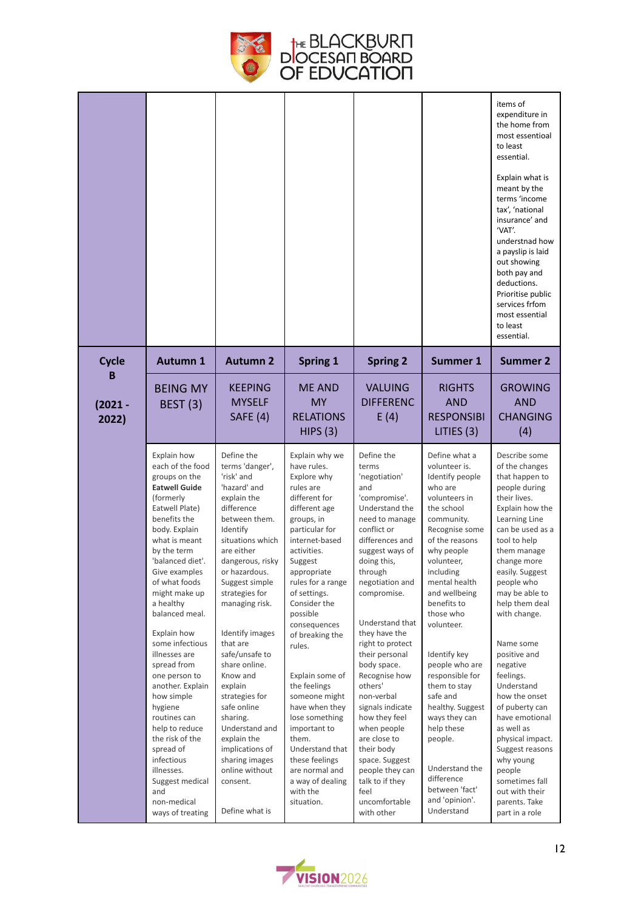

|                    |                                                                                                                                                                                                                                                                                                                                                                                                                                                                                                                                                                           |                                                                                                                                                                                                                                                                                                                                                                                                                                                                                                                |                                                                                                                                                                                                                                                                                                                                                                                                                                                                                                                            |                                                                                                                                                                                                                                                                                                                                                                                                                                                                                                                                       |                                                                                                                                                                                                                                                                                                                                                                                                                                                                                                     | items of<br>expenditure in<br>the home from<br>most essentioal<br>to least<br>essential.<br>Explain what is<br>meant by the<br>terms 'income<br>tax', 'national<br>insurance' and<br>'VAT'.<br>understnad how<br>a payslip is laid<br>out showing<br>both pay and<br>deductions.<br>Prioritise public<br>services frfom<br>most essential<br>to least<br>essential.                                                                                                                                                                                       |
|--------------------|---------------------------------------------------------------------------------------------------------------------------------------------------------------------------------------------------------------------------------------------------------------------------------------------------------------------------------------------------------------------------------------------------------------------------------------------------------------------------------------------------------------------------------------------------------------------------|----------------------------------------------------------------------------------------------------------------------------------------------------------------------------------------------------------------------------------------------------------------------------------------------------------------------------------------------------------------------------------------------------------------------------------------------------------------------------------------------------------------|----------------------------------------------------------------------------------------------------------------------------------------------------------------------------------------------------------------------------------------------------------------------------------------------------------------------------------------------------------------------------------------------------------------------------------------------------------------------------------------------------------------------------|---------------------------------------------------------------------------------------------------------------------------------------------------------------------------------------------------------------------------------------------------------------------------------------------------------------------------------------------------------------------------------------------------------------------------------------------------------------------------------------------------------------------------------------|-----------------------------------------------------------------------------------------------------------------------------------------------------------------------------------------------------------------------------------------------------------------------------------------------------------------------------------------------------------------------------------------------------------------------------------------------------------------------------------------------------|-----------------------------------------------------------------------------------------------------------------------------------------------------------------------------------------------------------------------------------------------------------------------------------------------------------------------------------------------------------------------------------------------------------------------------------------------------------------------------------------------------------------------------------------------------------|
| <b>Cycle</b><br>в  | <b>Autumn 1</b>                                                                                                                                                                                                                                                                                                                                                                                                                                                                                                                                                           | <b>Autumn 2</b>                                                                                                                                                                                                                                                                                                                                                                                                                                                                                                | <b>Spring 1</b>                                                                                                                                                                                                                                                                                                                                                                                                                                                                                                            | <b>Spring 2</b>                                                                                                                                                                                                                                                                                                                                                                                                                                                                                                                       | <b>Summer 1</b>                                                                                                                                                                                                                                                                                                                                                                                                                                                                                     | <b>Summer 2</b>                                                                                                                                                                                                                                                                                                                                                                                                                                                                                                                                           |
| $(2021 -$<br>2022) | <b>BEING MY</b><br><b>BEST (3)</b>                                                                                                                                                                                                                                                                                                                                                                                                                                                                                                                                        | <b>KEEPING</b><br><b>MYSELF</b><br><b>SAFE (4)</b>                                                                                                                                                                                                                                                                                                                                                                                                                                                             | ME AND<br><b>MY</b><br><b>RELATIONS</b><br>HIPS(3)                                                                                                                                                                                                                                                                                                                                                                                                                                                                         | <b>VALUING</b><br><b>DIFFERENC</b><br>E(4)                                                                                                                                                                                                                                                                                                                                                                                                                                                                                            | <b>RIGHTS</b><br><b>AND</b><br><b>RESPONSIBI</b><br>LITIES (3)                                                                                                                                                                                                                                                                                                                                                                                                                                      | <b>GROWING</b><br><b>AND</b><br><b>CHANGING</b><br>(4)                                                                                                                                                                                                                                                                                                                                                                                                                                                                                                    |
|                    | Explain how<br>each of the food<br>groups on the<br><b>Eatwell Guide</b><br>(formerly<br>Eatwell Plate)<br>benefits the<br>body. Explain<br>what is meant<br>by the term<br>'balanced diet'.<br>Give examples<br>of what foods<br>might make up<br>a healthy<br>balanced meal.<br>Explain how<br>some infectious<br>illnesses are<br>spread from<br>one person to<br>another. Explain<br>how simple<br>hygiene<br>routines can<br>help to reduce<br>the risk of the<br>spread of<br>infectious<br>illnesses.<br>Suggest medical<br>and<br>non-medical<br>ways of treating | Define the<br>terms 'danger',<br>'risk' and<br>'hazard' and<br>explain the<br>difference<br>between them.<br>Identify<br>situations which<br>are either<br>dangerous, risky<br>or hazardous.<br>Suggest simple<br>strategies for<br>managing risk.<br>Identify images<br>that are<br>safe/unsafe to<br>share online.<br>Know and<br>explain<br>strategies for<br>safe online<br>sharing.<br>Understand and<br>explain the<br>implications of<br>sharing images<br>online without<br>consent.<br>Define what is | Explain why we<br>have rules.<br>Explore why<br>rules are<br>different for<br>different age<br>groups, in<br>particular for<br>internet-based<br>activities.<br>Suggest<br>appropriate<br>rules for a range<br>of settings.<br>Consider the<br>possible<br>consequences<br>of breaking the<br>rules.<br>Explain some of<br>the feelings<br>someone might<br>have when they<br>lose something<br>important to<br>them.<br>Understand that<br>these feelings<br>are normal and<br>a way of dealing<br>with the<br>situation. | Define the<br>terms<br>'negotiation'<br>and<br>'compromise'.<br>Understand the<br>need to manage<br>conflict or<br>differences and<br>suggest ways of<br>doing this,<br>through<br>negotiation and<br>compromise.<br>Understand that<br>they have the<br>right to protect<br>their personal<br>body space.<br>Recognise how<br>others'<br>non-verbal<br>signals indicate<br>how they feel<br>when people<br>are close to<br>their body<br>space. Suggest<br>people they can<br>talk to if they<br>feel<br>uncomfortable<br>with other | Define what a<br>volunteer is.<br>Identify people<br>who are<br>volunteers in<br>the school<br>community.<br>Recognise some<br>of the reasons<br>why people<br>volunteer,<br>including<br>mental health<br>and wellbeing<br>benefits to<br>those who<br>volunteer.<br>Identify key<br>people who are<br>responsible for<br>them to stay<br>safe and<br>healthy. Suggest<br>ways they can<br>help these<br>people.<br>Understand the<br>difference<br>between 'fact'<br>and 'opinion'.<br>Understand | Describe some<br>of the changes<br>that happen to<br>people during<br>their lives.<br>Explain how the<br>Learning Line<br>can be used as a<br>tool to help<br>them manage<br>change more<br>easily. Suggest<br>people who<br>may be able to<br>help them deal<br>with change.<br>Name some<br>positive and<br>negative<br>feelings.<br>Understand<br>how the onset<br>of puberty can<br>have emotional<br>as well as<br>physical impact.<br>Suggest reasons<br>why young<br>people<br>sometimes fall<br>out with their<br>parents. Take<br>part in a role |

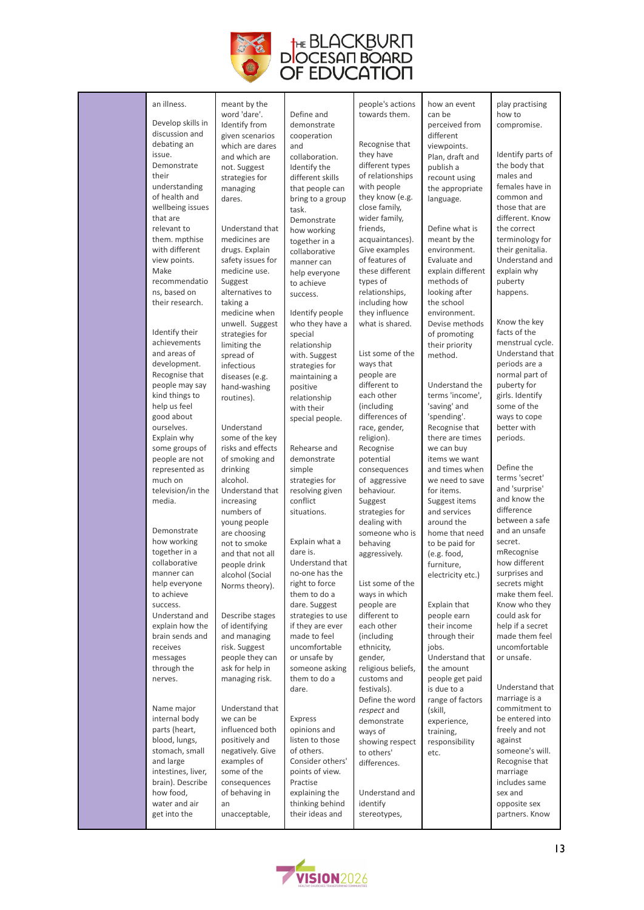

| an illness.                      | meant by the                       |                                  | people's actions                  | how an event                      | play practising                 |
|----------------------------------|------------------------------------|----------------------------------|-----------------------------------|-----------------------------------|---------------------------------|
| Develop skills in                | word 'dare'.                       | Define and                       | towards them.                     | can be                            | how to                          |
| discussion and                   | Identify from<br>given scenarios   | demonstrate<br>cooperation       |                                   | perceived from<br>different       | compromise.                     |
| debating an                      | which are dares                    | and                              | Recognise that                    | viewpoints.                       |                                 |
| issue.                           | and which are                      | collaboration.                   | they have                         | Plan, draft and                   | Identify parts of               |
| Demonstrate                      | not. Suggest                       | Identify the                     | different types                   | publish a                         | the body that                   |
| their                            | strategies for                     | different skills                 | of relationships                  | recount using                     | males and                       |
| understanding<br>of health and   | managing                           | that people can                  | with people<br>they know (e.g.    | the appropriate                   | females have in<br>common and   |
| wellbeing issues                 | dares.                             | bring to a group<br>task.        | close family,                     | language.                         | those that are                  |
| that are                         |                                    | Demonstrate                      | wider family,                     |                                   | different. Know                 |
| relevant to                      | Understand that                    | how working                      | friends,                          | Define what is                    | the correct                     |
| them. mpthise                    | medicines are                      | together in a                    | acquaintances).                   | meant by the                      | terminology for                 |
| with different                   | drugs. Explain                     | collaborative                    | Give examples                     | environment.                      | their genitalia.                |
| view points.<br>Make             | safety issues for<br>medicine use. | manner can                       | of features of<br>these different | Evaluate and<br>explain different | Understand and<br>explain why   |
| recommendatio                    | Suggest                            | help everyone<br>to achieve      | types of                          | methods of                        | puberty                         |
| ns, based on                     | alternatives to                    | success.                         | relationships,                    | looking after                     | happens.                        |
| their research.                  | taking a                           |                                  | including how                     | the school                        |                                 |
|                                  | medicine when                      | Identify people                  | they influence                    | environment.                      |                                 |
| Identify their                   | unwell. Suggest                    | who they have a                  | what is shared.                   | Devise methods                    | Know the key<br>facts of the    |
| achievements                     | strategies for<br>limiting the     | special<br>relationship          |                                   | of promoting<br>their priority    | menstrual cycle.                |
| and areas of                     | spread of                          | with. Suggest                    | List some of the                  | method.                           | Understand that                 |
| development.                     | infectious                         | strategies for                   | ways that                         |                                   | periods are a                   |
| Recognise that                   | diseases (e.g.                     | maintaining a                    | people are                        |                                   | normal part of                  |
| people may say                   | hand-washing                       | positive                         | different to                      | Understand the                    | puberty for                     |
| kind things to<br>help us feel   | routines).                         | relationship<br>with their       | each other<br>(including          | terms 'income',<br>'saving' and   | girls. Identify<br>some of the  |
| good about                       |                                    | special people.                  | differences of                    | 'spending'.                       | ways to cope                    |
| ourselves.                       | Understand                         |                                  | race, gender,                     | Recognise that                    | better with                     |
| Explain why                      | some of the key                    |                                  | religion).                        | there are times                   | periods.                        |
| some groups of                   | risks and effects                  | Rehearse and                     | Recognise                         | we can buy                        |                                 |
| people are not<br>represented as | of smoking and<br>drinking         | demonstrate<br>simple            | potential<br>consequences         | items we want<br>and times when   | Define the                      |
| much on                          | alcohol.                           | strategies for                   | of aggressive                     | we need to save                   | terms 'secret'                  |
| television/in the                | Understand that                    | resolving given                  | behaviour.                        | for items.                        | and 'surprise'                  |
| media.                           | increasing                         | conflict                         | Suggest                           | Suggest items                     | and know the                    |
|                                  | numbers of                         | situations.                      | strategies for                    | and services                      | difference<br>between a safe    |
| Demonstrate                      | young people<br>are choosing       |                                  | dealing with<br>someone who is    | around the<br>home that need      | and an unsafe                   |
| how working                      | not to smoke                       | Explain what a                   | behaving                          | to be paid for                    | secret.                         |
| together in a                    | and that not all                   | dare is.                         | aggressively.                     | (e.g. food,                       | mRecognise                      |
| collaborative                    | people drink                       | Understand that                  |                                   | furniture,                        | how different                   |
| manner can<br>help everyone      | alcohol (Social                    | no-one has the<br>right to force | List some of the                  | electricity etc.)                 | surprises and<br>secrets might  |
| to achieve                       | Norms theory).                     | them to do a                     | ways in which                     |                                   | make them feel.                 |
| success.                         |                                    | dare. Suggest                    | people are                        | Explain that                      | Know who they                   |
| Understand and                   | Describe stages                    | strategies to use                | different to                      | people earn                       | could ask for                   |
| explain how the                  | of identifying                     | if they are ever                 | each other                        | their income                      | help if a secret                |
| brain sends and<br>receives      | and managing<br>risk. Suggest      | made to feel<br>uncomfortable    | (including<br>ethnicity,          | through their<br>jobs.            | made them feel<br>uncomfortable |
| messages                         | people they can                    | or unsafe by                     | gender,                           | Understand that                   | or unsafe.                      |
| through the                      | ask for help in                    | someone asking                   | religious beliefs,                | the amount                        |                                 |
| nerves.                          | managing risk.                     | them to do a                     | customs and                       | people get paid                   |                                 |
|                                  |                                    | dare.                            | festivals).                       | is due to a                       | Understand that                 |
| Name major                       | Understand that                    |                                  | Define the word                   | range of factors                  | marriage is a<br>commitment to  |
| internal body                    | we can be                          | Express                          | respect and<br>demonstrate        | (skill,<br>experience,            | be entered into                 |
| parts (heart,                    | influenced both                    | opinions and                     | ways of                           | training,                         | freely and not                  |
| blood, lungs,                    | positively and                     | listen to those                  | showing respect                   | responsibility                    | against                         |
| stomach, small                   | negatively. Give                   | of others.<br>Consider others'   | to others'                        | etc.                              | someone's will.                 |
| and large<br>intestines, liver,  | examples of<br>some of the         | points of view.                  | differences.                      |                                   | Recognise that<br>marriage      |
| brain). Describe                 | consequences                       | Practise                         |                                   |                                   | includes same                   |
| how food,                        | of behaving in                     | explaining the                   | Understand and                    |                                   | sex and                         |
| water and air                    | an                                 | thinking behind                  | identify                          |                                   | opposite sex                    |
| get into the                     | unacceptable,                      | their ideas and                  | stereotypes,                      |                                   | partners. Know                  |
|                                  |                                    |                                  |                                   |                                   |                                 |

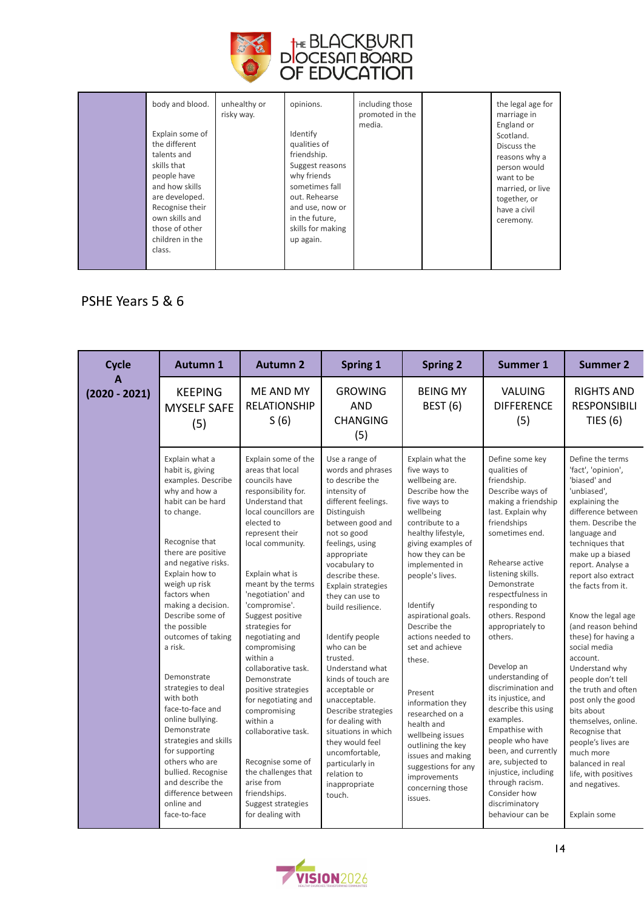

|  | body and blood.<br>Explain some of<br>the different<br>talents and<br>skills that<br>people have<br>and how skills<br>are developed.<br>Recognise their | unhealthy or<br>risky way. | opinions.<br>Identify<br>qualities of<br>friendship.<br>Suggest reasons<br>why friends<br>sometimes fall<br>out. Rehearse<br>and use, now or | including those<br>promoted in the<br>media. |  | the legal age for<br>marriage in<br>England or<br>Scotland.<br>Discuss the<br>reasons why a<br>person would<br>want to be<br>married, or live<br>together, or<br>have a civil |
|--|---------------------------------------------------------------------------------------------------------------------------------------------------------|----------------------------|----------------------------------------------------------------------------------------------------------------------------------------------|----------------------------------------------|--|-------------------------------------------------------------------------------------------------------------------------------------------------------------------------------|
|--|---------------------------------------------------------------------------------------------------------------------------------------------------------|----------------------------|----------------------------------------------------------------------------------------------------------------------------------------------|----------------------------------------------|--|-------------------------------------------------------------------------------------------------------------------------------------------------------------------------------|

#### PSHE Years 5 & 6

| <b>Cycle</b>         | <b>Autumn 1</b>                                                                                                                                                                                                                                                                                                                                                                                                                                                                                                                                                                               | <b>Autumn 2</b>                                                                                                                                                                                                                                                                                                                                                                                                                                                                                                                                                                                                 | Spring 1                                                                                                                                                                                                                                                                                                                                                                                                                                                                                                                                                                        | <b>Spring 2</b>                                                                                                                                                                                                                                                                                                                                                                                                                                                                                                                     | <b>Summer 1</b>                                                                                                                                                                                                                                                                                                                                                                                                                                                                                                                                                                                    | <b>Summer 2</b>                                                                                                                                                                                                                                                                                                                                                                                                                                                                                                                                                                                                         |
|----------------------|-----------------------------------------------------------------------------------------------------------------------------------------------------------------------------------------------------------------------------------------------------------------------------------------------------------------------------------------------------------------------------------------------------------------------------------------------------------------------------------------------------------------------------------------------------------------------------------------------|-----------------------------------------------------------------------------------------------------------------------------------------------------------------------------------------------------------------------------------------------------------------------------------------------------------------------------------------------------------------------------------------------------------------------------------------------------------------------------------------------------------------------------------------------------------------------------------------------------------------|---------------------------------------------------------------------------------------------------------------------------------------------------------------------------------------------------------------------------------------------------------------------------------------------------------------------------------------------------------------------------------------------------------------------------------------------------------------------------------------------------------------------------------------------------------------------------------|-------------------------------------------------------------------------------------------------------------------------------------------------------------------------------------------------------------------------------------------------------------------------------------------------------------------------------------------------------------------------------------------------------------------------------------------------------------------------------------------------------------------------------------|----------------------------------------------------------------------------------------------------------------------------------------------------------------------------------------------------------------------------------------------------------------------------------------------------------------------------------------------------------------------------------------------------------------------------------------------------------------------------------------------------------------------------------------------------------------------------------------------------|-------------------------------------------------------------------------------------------------------------------------------------------------------------------------------------------------------------------------------------------------------------------------------------------------------------------------------------------------------------------------------------------------------------------------------------------------------------------------------------------------------------------------------------------------------------------------------------------------------------------------|
| A<br>$(2020 - 2021)$ | <b>KEEPING</b><br><b>MYSELF SAFE</b><br>(5)                                                                                                                                                                                                                                                                                                                                                                                                                                                                                                                                                   | ME AND MY<br><b>RELATIONSHIP</b><br>S(6)                                                                                                                                                                                                                                                                                                                                                                                                                                                                                                                                                                        | <b>GROWING</b><br><b>AND</b><br><b>CHANGING</b><br>(5)                                                                                                                                                                                                                                                                                                                                                                                                                                                                                                                          | <b>BEING MY</b><br><b>BEST (6)</b>                                                                                                                                                                                                                                                                                                                                                                                                                                                                                                  | VALUING<br><b>DIFFERENCE</b><br>(5)                                                                                                                                                                                                                                                                                                                                                                                                                                                                                                                                                                | <b>RIGHTS AND</b><br><b>RESPONSIBILI</b><br>TIES $(6)$                                                                                                                                                                                                                                                                                                                                                                                                                                                                                                                                                                  |
|                      | Explain what a<br>habit is, giving<br>examples. Describe<br>why and how a<br>habit can be hard<br>to change.<br>Recognise that<br>there are positive<br>and negative risks.<br>Explain how to<br>weigh up risk<br>factors when<br>making a decision.<br>Describe some of<br>the possible<br>outcomes of taking<br>a risk.<br>Demonstrate<br>strategies to deal<br>with both<br>face-to-face and<br>online bullying.<br>Demonstrate<br>strategies and skills<br>for supporting<br>others who are<br>bullied. Recognise<br>and describe the<br>difference between<br>online and<br>face-to-face | Explain some of the<br>areas that local<br>councils have<br>responsibility for.<br>Understand that<br>local councillors are<br>elected to<br>represent their<br>local community.<br>Explain what is<br>meant by the terms<br>'negotiation' and<br>'compromise'.<br>Suggest positive<br>strategies for<br>negotiating and<br>compromising<br>within a<br>collaborative task.<br>Demonstrate<br>positive strategies<br>for negotiating and<br>compromising<br>within a<br>collaborative task.<br>Recognise some of<br>the challenges that<br>arise from<br>friendships.<br>Suggest strategies<br>for dealing with | Use a range of<br>words and phrases<br>to describe the<br>intensity of<br>different feelings.<br>Distinguish<br>between good and<br>not so good<br>feelings, using<br>appropriate<br>vocabulary to<br>describe these.<br>Explain strategies<br>they can use to<br>build resilience.<br>Identify people<br>who can be<br>trusted.<br>Understand what<br>kinds of touch are<br>acceptable or<br>unacceptable.<br>Describe strategies<br>for dealing with<br>situations in which<br>they would feel<br>uncomfortable,<br>particularly in<br>relation to<br>inappropriate<br>touch. | Explain what the<br>five ways to<br>wellbeing are.<br>Describe how the<br>five ways to<br>wellbeing<br>contribute to a<br>healthy lifestyle,<br>giving examples of<br>how they can be<br>implemented in<br>people's lives.<br>Identify<br>aspirational goals.<br>Describe the<br>actions needed to<br>set and achieve<br>these.<br>Present<br>information they<br>researched on a<br>health and<br>wellbeing issues<br>outlining the key<br>issues and making<br>suggestions for any<br>improvements<br>concerning those<br>issues. | Define some key<br>qualities of<br>friendship.<br>Describe ways of<br>making a friendship<br>last. Explain why<br>friendships<br>sometimes end.<br>Rehearse active<br>listening skills.<br>Demonstrate<br>respectfulness in<br>responding to<br>others. Respond<br>appropriately to<br>others.<br>Develop an<br>understanding of<br>discrimination and<br>its injustice, and<br>describe this using<br>examples.<br>Empathise with<br>people who have<br>been, and currently<br>are, subjected to<br>injustice, including<br>through racism.<br>Consider how<br>discriminatory<br>behaviour can be | Define the terms<br>'fact', 'opinion',<br>'biased' and<br>'unbiased'.<br>explaining the<br>difference between<br>them. Describe the<br>language and<br>techniques that<br>make up a biased<br>report. Analyse a<br>report also extract<br>the facts from it.<br>Know the legal age<br>(and reason behind<br>these) for having a<br>social media<br>account.<br>Understand why<br>people don't tell<br>the truth and often<br>post only the good<br>bits about<br>themselves, online.<br>Recognise that<br>people's lives are<br>much more<br>balanced in real<br>life, with positives<br>and negatives.<br>Explain some |

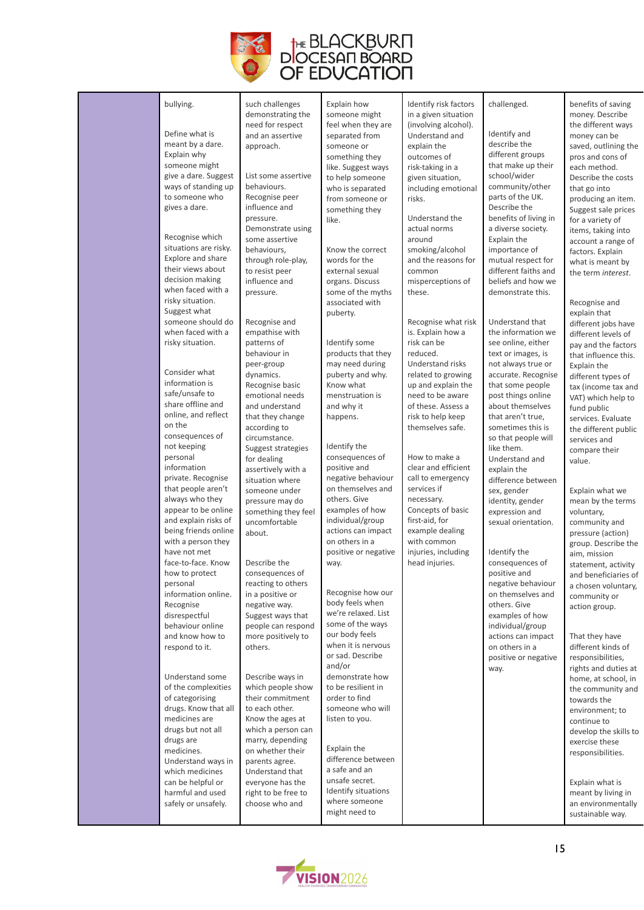

| bullying.<br>Define what is<br>meant by a dare.<br>Explain why<br>someone might<br>give a dare. Suggest<br>ways of standing up<br>to someone who<br>gives a dare.<br>Recognise which<br>situations are risky.<br>Explore and share<br>their views about<br>decision making<br>when faced with a<br>risky situation.<br>Suggest what<br>someone should do<br>when faced with a<br>risky situation.<br>Consider what<br>information is<br>safe/unsafe to<br>share offline and<br>online, and reflect<br>on the<br>consequences of<br>not keeping<br>personal<br>information<br>private. Recognise<br>that people aren't | such challenges<br>demonstrating the<br>need for respect<br>and an assertive<br>approach.<br>List some assertive<br>behaviours.<br>Recognise peer<br>influence and<br>pressure.<br>Demonstrate using<br>some assertive<br>behaviours,<br>through role-play,<br>to resist peer<br>influence and<br>pressure.<br>Recognise and<br>empathise with<br>patterns of<br>behaviour in<br>peer-group<br>dynamics.<br>Recognise basic<br>emotional needs<br>and understand<br>that they change<br>according to<br>circumstance.<br>Suggest strategies<br>for dealing<br>assertively with a<br>situation where<br>someone under | Explain how<br>someone might<br>feel when they are<br>separated from<br>someone or<br>something they<br>like. Suggest ways<br>to help someone<br>who is separated<br>from someone or<br>something they<br>like.<br>Know the correct<br>words for the<br>external sexual<br>organs. Discuss<br>some of the myths<br>associated with<br>puberty.<br>Identify some<br>products that they<br>may need during<br>puberty and why.<br>Know what<br>menstruation is<br>and why it<br>happens.<br>Identify the<br>consequences of<br>positive and<br>negative behaviour<br>on themselves and | Identify risk factors<br>in a given situation<br>(involving alcohol).<br>Understand and<br>explain the<br>outcomes of<br>risk-taking in a<br>given situation,<br>including emotional<br>risks.<br>Understand the<br>actual norms<br>around<br>smoking/alcohol<br>and the reasons for<br>common<br>misperceptions of<br>these.<br>Recognise what risk<br>is. Explain how a<br>risk can be<br>reduced.<br><b>Understand risks</b><br>related to growing<br>up and explain the<br>need to be aware<br>of these. Assess a<br>risk to help keep<br>themselves safe.<br>How to make a<br>clear and efficient<br>call to emergency<br>services if | challenged.<br>Identify and<br>describe the<br>different groups<br>that make up their<br>school/wider<br>community/other<br>parts of the UK.<br>Describe the<br>benefits of living in<br>a diverse society.<br>Explain the<br>importance of<br>mutual respect for<br>different faiths and<br>beliefs and how we<br>demonstrate this.<br>Understand that<br>the information we<br>see online, either<br>text or images, is<br>not always true or<br>accurate. Recognise<br>that some people<br>post things online<br>about themselves<br>that aren't true,<br>sometimes this is<br>so that people will<br>like them.<br>Understand and<br>explain the | benefits of saving<br>money. Describe<br>the different ways<br>money can be<br>saved, outlining the<br>pros and cons of<br>each method.<br>Describe the costs<br>that go into<br>producing an item.<br>Suggest sale prices<br>for a variety of<br>items, taking into<br>account a range of<br>factors. Explain<br>what is meant by<br>the term interest.<br>Recognise and<br>explain that<br>different jobs have<br>different levels of<br>pay and the factors<br>that influence this.<br>Explain the<br>different types of<br>tax (income tax and<br>VAT) which help to<br>fund public<br>services. Evaluate<br>the different public<br>services and<br>compare their<br>value.<br>Explain what we |
|-----------------------------------------------------------------------------------------------------------------------------------------------------------------------------------------------------------------------------------------------------------------------------------------------------------------------------------------------------------------------------------------------------------------------------------------------------------------------------------------------------------------------------------------------------------------------------------------------------------------------|----------------------------------------------------------------------------------------------------------------------------------------------------------------------------------------------------------------------------------------------------------------------------------------------------------------------------------------------------------------------------------------------------------------------------------------------------------------------------------------------------------------------------------------------------------------------------------------------------------------------|--------------------------------------------------------------------------------------------------------------------------------------------------------------------------------------------------------------------------------------------------------------------------------------------------------------------------------------------------------------------------------------------------------------------------------------------------------------------------------------------------------------------------------------------------------------------------------------|--------------------------------------------------------------------------------------------------------------------------------------------------------------------------------------------------------------------------------------------------------------------------------------------------------------------------------------------------------------------------------------------------------------------------------------------------------------------------------------------------------------------------------------------------------------------------------------------------------------------------------------------|------------------------------------------------------------------------------------------------------------------------------------------------------------------------------------------------------------------------------------------------------------------------------------------------------------------------------------------------------------------------------------------------------------------------------------------------------------------------------------------------------------------------------------------------------------------------------------------------------------------------------------------------------|-----------------------------------------------------------------------------------------------------------------------------------------------------------------------------------------------------------------------------------------------------------------------------------------------------------------------------------------------------------------------------------------------------------------------------------------------------------------------------------------------------------------------------------------------------------------------------------------------------------------------------------------------------------------------------------------------------|
| being friends online<br>with a person they<br>have not met<br>face-to-face. Know<br>how to protect<br>personal<br>information online.<br>Recognise<br>disrespectful<br>behaviour online<br>and know how to<br>respond to it.<br>Understand some<br>of the complexities<br>of categorising<br>drugs. Know that all<br>medicines are<br>drugs but not all<br>drugs are<br>medicines.<br>Understand ways in<br>which medicines<br>can be helpful or<br>harmful and used<br>safely or unsafely.                                                                                                                           | about.<br>Describe the<br>consequences of<br>reacting to others<br>in a positive or<br>negative way.<br>Suggest ways that<br>people can respond<br>more positively to<br>others.<br>Describe ways in<br>which people show<br>their commitment<br>to each other.<br>Know the ages at<br>which a person can<br>marry, depending<br>on whether their<br>parents agree.<br>Understand that<br>everyone has the<br>right to be free to<br>choose who and                                                                                                                                                                  | actions can impact<br>on others in a<br>positive or negative<br>way.<br>Recognise how our<br>body feels when<br>we're relaxed. List<br>some of the ways<br>our body feels<br>when it is nervous<br>or sad. Describe<br>and/or<br>demonstrate how<br>to be resilient in<br>order to find<br>someone who will<br>listen to you.<br>Explain the<br>difference between<br>a safe and an<br>unsafe secret.<br>Identify situations<br>where someone<br>might need to                                                                                                                       | example dealing<br>with common<br>injuries, including<br>head injuries.                                                                                                                                                                                                                                                                                                                                                                                                                                                                                                                                                                    | Identify the<br>consequences of<br>positive and<br>negative behaviour<br>on themselves and<br>others. Give<br>examples of how<br>individual/group<br>actions can impact<br>on others in a<br>positive or negative<br>way.                                                                                                                                                                                                                                                                                                                                                                                                                            | pressure (action)<br>group. Describe the<br>aim, mission<br>statement, activity<br>and beneficiaries of<br>a chosen voluntary,<br>community or<br>action group.<br>That they have<br>different kinds of<br>responsibilities,<br>rights and duties at<br>home, at school, in<br>the community and<br>towards the<br>environment; to<br>continue to<br>develop the skills to<br>exercise these<br>responsibilities.<br>Explain what is<br>meant by living in<br>an environmentally<br>sustainable way.                                                                                                                                                                                                |

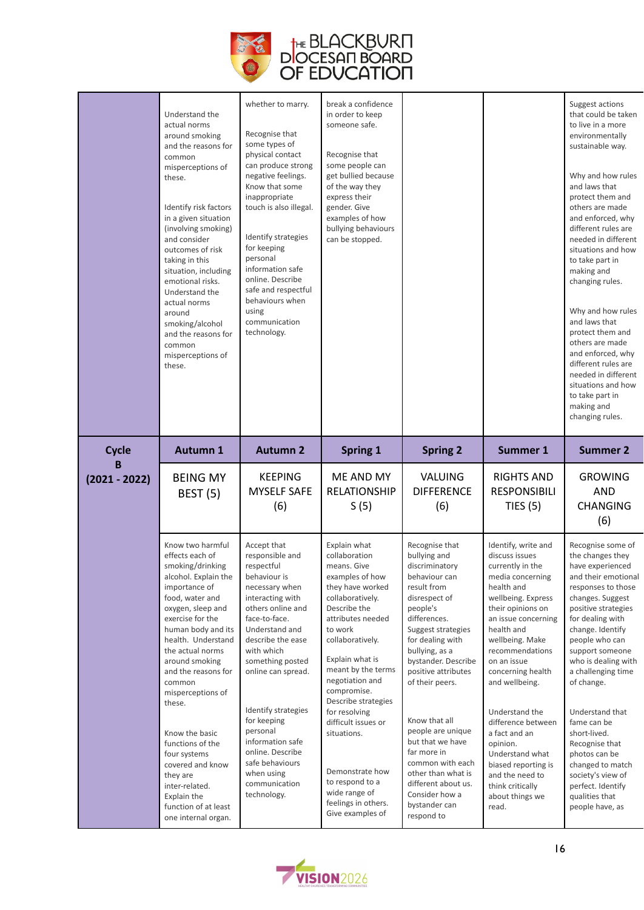

|                   | Understand the<br>actual norms<br>around smoking<br>and the reasons for<br>common<br>misperceptions of<br>these.<br>Identify risk factors<br>in a given situation<br>(involving smoking)<br>and consider<br>outcomes of risk<br>taking in this<br>situation, including<br>emotional risks.<br>Understand the<br>actual norms<br>around<br>smoking/alcohol<br>and the reasons for<br>common<br>misperceptions of<br>these.             | whether to marry.<br>Recognise that<br>some types of<br>physical contact<br>can produce strong<br>negative feelings.<br>Know that some<br>inappropriate<br>touch is also illegal.<br>Identify strategies<br>for keeping<br>personal<br>information safe<br>online. Describe<br>safe and respectful<br>behaviours when<br>using<br>communication<br>technology.                                     | break a confidence<br>in order to keep<br>someone safe.<br>Recognise that<br>some people can<br>get bullied because<br>of the way they<br>express their<br>gender. Give<br>examples of how<br>bullying behaviours<br>can be stopped.                                                                                                                                                                               |                                                                                                                                                                                                                                                                                                                                                                                                                        |                                                                                                                                                                                                                                                                                                                                                                                                                                                  | Suggest actions<br>that could be taken<br>to live in a more<br>environmentally<br>sustainable way.<br>Why and how rules<br>and laws that<br>protect them and<br>others are made<br>and enforced, why<br>different rules are<br>needed in different<br>situations and how<br>to take part in<br>making and<br>changing rules.<br>Why and how rules<br>and laws that<br>protect them and<br>others are made<br>and enforced, why<br>different rules are<br>needed in different<br>situations and how<br>to take part in<br>making and<br>changing rules. |
|-------------------|---------------------------------------------------------------------------------------------------------------------------------------------------------------------------------------------------------------------------------------------------------------------------------------------------------------------------------------------------------------------------------------------------------------------------------------|----------------------------------------------------------------------------------------------------------------------------------------------------------------------------------------------------------------------------------------------------------------------------------------------------------------------------------------------------------------------------------------------------|--------------------------------------------------------------------------------------------------------------------------------------------------------------------------------------------------------------------------------------------------------------------------------------------------------------------------------------------------------------------------------------------------------------------|------------------------------------------------------------------------------------------------------------------------------------------------------------------------------------------------------------------------------------------------------------------------------------------------------------------------------------------------------------------------------------------------------------------------|--------------------------------------------------------------------------------------------------------------------------------------------------------------------------------------------------------------------------------------------------------------------------------------------------------------------------------------------------------------------------------------------------------------------------------------------------|--------------------------------------------------------------------------------------------------------------------------------------------------------------------------------------------------------------------------------------------------------------------------------------------------------------------------------------------------------------------------------------------------------------------------------------------------------------------------------------------------------------------------------------------------------|
| <b>Cycle</b><br>B | <b>Autumn 1</b>                                                                                                                                                                                                                                                                                                                                                                                                                       | <b>Autumn 2</b>                                                                                                                                                                                                                                                                                                                                                                                    | <b>Spring 1</b>                                                                                                                                                                                                                                                                                                                                                                                                    | <b>Spring 2</b>                                                                                                                                                                                                                                                                                                                                                                                                        | Summer 1                                                                                                                                                                                                                                                                                                                                                                                                                                         | <b>Summer 2</b>                                                                                                                                                                                                                                                                                                                                                                                                                                                                                                                                        |
| $(2021 - 2022)$   | <b>BEING MY</b><br><b>BEST (5)</b>                                                                                                                                                                                                                                                                                                                                                                                                    | <b>KEEPING</b><br><b>MYSELF SAFE</b><br>(6)                                                                                                                                                                                                                                                                                                                                                        | ME AND MY<br><b>RELATIONSHIP</b><br>S(5)                                                                                                                                                                                                                                                                                                                                                                           | <b>VALUING</b><br><b>DIFFERENCE</b><br>(6)                                                                                                                                                                                                                                                                                                                                                                             | <b>RIGHTS AND</b><br><b>RESPONSIBILI</b><br>TIES $(5)$                                                                                                                                                                                                                                                                                                                                                                                           | <b>GROWING</b><br>AND<br><b>CHANGING</b><br>(6)                                                                                                                                                                                                                                                                                                                                                                                                                                                                                                        |
|                   | Know two harmful<br>effects each of<br>smoking/drinking<br>alcohol. Explain the<br>importance of<br>food, water and<br>oxygen, sleep and<br>exercise for the<br>human body and its<br>health. Understand<br>the actual norms<br>around smoking<br>and the reasons for<br>common<br>misperceptions of<br>these.<br>Know the basic<br>functions of the<br>four systems<br>covered and know<br>they are<br>inter-related.<br>Explain the | Accept that<br>responsible and<br>respectful<br>behaviour is<br>necessary when<br>interacting with<br>others online and<br>face-to-face.<br>Understand and<br>describe the ease<br>with which<br>something posted<br>online can spread.<br>Identify strategies<br>for keeping<br>personal<br>information safe<br>online. Describe<br>safe behaviours<br>when using<br>communication<br>technology. | Explain what<br>collaboration<br>means. Give<br>examples of how<br>they have worked<br>collaboratively.<br>Describe the<br>attributes needed<br>to work<br>collaboratively.<br>Explain what is<br>meant by the terms<br>negotiation and<br>compromise.<br>Describe strategies<br>for resolving<br>difficult issues or<br>situations.<br>Demonstrate how<br>to respond to a<br>wide range of<br>feelings in others. | Recognise that<br>bullying and<br>discriminatory<br>behaviour can<br>result from<br>disrespect of<br>people's<br>differences.<br>Suggest strategies<br>for dealing with<br>bullying, as a<br>bystander. Describe<br>positive attributes<br>of their peers.<br>Know that all<br>people are unique<br>but that we have<br>far more in<br>common with each<br>other than what is<br>different about us.<br>Consider how a | Identify, write and<br>discuss issues<br>currently in the<br>media concerning<br>health and<br>wellbeing. Express<br>their opinions on<br>an issue concerning<br>health and<br>wellbeing. Make<br>recommendations<br>on an issue<br>concerning health<br>and wellbeing.<br>Understand the<br>difference between<br>a fact and an<br>opinion.<br>Understand what<br>biased reporting is<br>and the need to<br>think critically<br>about things we | Recognise some of<br>the changes they<br>have experienced<br>and their emotional<br>responses to those<br>changes. Suggest<br>positive strategies<br>for dealing with<br>change. Identify<br>people who can<br>support someone<br>who is dealing with<br>a challenging time<br>of change.<br>Understand that<br>fame can be<br>short-lived.<br>Recognise that<br>photos can be<br>changed to match<br>society's view of<br>perfect. Identify<br>qualities that                                                                                         |

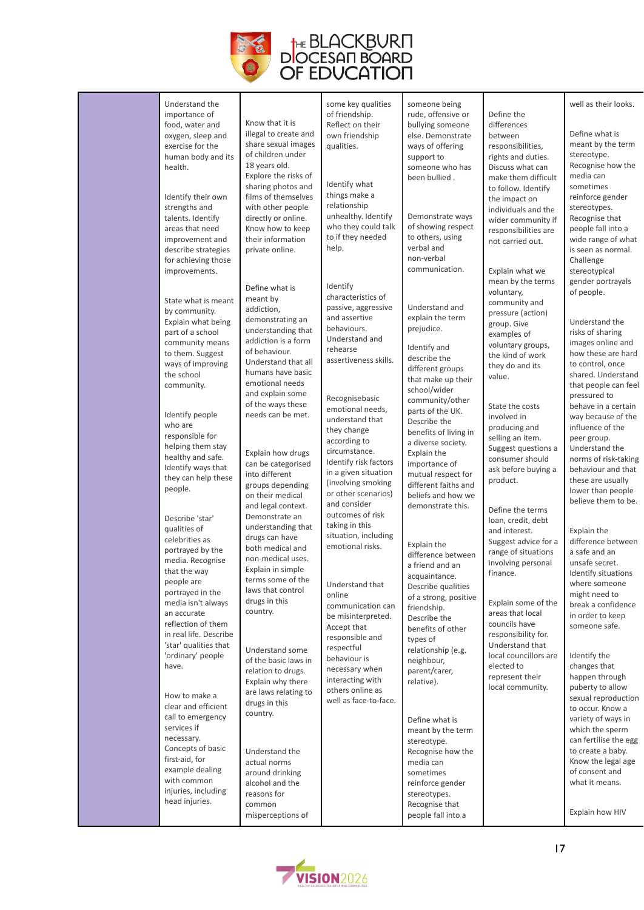

| Understand the<br>importance of<br>food, water and<br>oxygen, sleep and<br>exercise for the<br>human body and its<br>health.<br>Identify their own<br>strengths and<br>talents. Identify<br>areas that need<br>improvement and<br>describe strategies<br>for achieving those<br>improvements.<br>State what is meant<br>by community.<br>Explain what being<br>part of a school<br>community means<br>to them. Suggest | Know that it is<br>illegal to create and<br>share sexual images<br>of children under<br>18 years old.<br>Explore the risks of<br>sharing photos and<br>films of themselves<br>with other people<br>directly or online.<br>Know how to keep<br>their information<br>private online.<br>Define what is<br>meant by<br>addiction,<br>demonstrating an<br>understanding that<br>addiction is a form<br>of behaviour. | some key qualities<br>of friendship.<br>Reflect on their<br>own friendship<br>qualities.<br>Identify what<br>things make a<br>relationship<br>unhealthy. Identify<br>who they could talk<br>to if they needed<br>help.<br>Identify<br>characteristics of<br>passive, aggressive<br>and assertive<br>behaviours.<br>Understand and<br>rehearse<br>assertiveness skills. | someone being<br>rude, offensive or<br>bullying someone<br>else. Demonstrate<br>ways of offering<br>support to<br>someone who has<br>been bullied.<br>Demonstrate ways<br>of showing respect<br>to others, using<br>verbal and<br>non-verbal<br>communication.<br>Understand and<br>explain the term<br>prejudice.<br>Identify and<br>describe the | Define the<br>differences<br>between<br>responsibilities,<br>rights and duties.<br>Discuss what can<br>make them difficult<br>to follow. Identify<br>the impact on<br>individuals and the<br>wider community if<br>responsibilities are<br>not carried out.<br>Explain what we<br>mean by the terms<br>voluntary,<br>community and<br>pressure (action)<br>group. Give<br>examples of<br>voluntary groups,<br>the kind of work | well as their looks.<br>Define what is<br>meant by the term<br>stereotype.<br>Recognise how the<br>media can<br>sometimes<br>reinforce gender<br>stereotypes.<br>Recognise that<br>people fall into a<br>wide range of what<br>is seen as normal.<br>Challenge<br>stereotypical<br>gender portrayals<br>of people.<br>Understand the<br>risks of sharing<br>images online and<br>how these are hard |
|------------------------------------------------------------------------------------------------------------------------------------------------------------------------------------------------------------------------------------------------------------------------------------------------------------------------------------------------------------------------------------------------------------------------|------------------------------------------------------------------------------------------------------------------------------------------------------------------------------------------------------------------------------------------------------------------------------------------------------------------------------------------------------------------------------------------------------------------|------------------------------------------------------------------------------------------------------------------------------------------------------------------------------------------------------------------------------------------------------------------------------------------------------------------------------------------------------------------------|----------------------------------------------------------------------------------------------------------------------------------------------------------------------------------------------------------------------------------------------------------------------------------------------------------------------------------------------------|--------------------------------------------------------------------------------------------------------------------------------------------------------------------------------------------------------------------------------------------------------------------------------------------------------------------------------------------------------------------------------------------------------------------------------|-----------------------------------------------------------------------------------------------------------------------------------------------------------------------------------------------------------------------------------------------------------------------------------------------------------------------------------------------------------------------------------------------------|
| ways of improving<br>the school<br>community.                                                                                                                                                                                                                                                                                                                                                                          | Understand that all<br>humans have basic<br>emotional needs<br>and explain some<br>of the ways these                                                                                                                                                                                                                                                                                                             | Recognisebasic<br>emotional needs,                                                                                                                                                                                                                                                                                                                                     | different groups<br>that make up their<br>school/wider<br>community/other<br>parts of the UK.                                                                                                                                                                                                                                                      | they do and its<br>value.<br>State the costs                                                                                                                                                                                                                                                                                                                                                                                   | to control, once<br>shared. Understand<br>that people can feel<br>pressured to<br>behave in a certain                                                                                                                                                                                                                                                                                               |
| Identify people<br>who are<br>responsible for<br>helping them stay<br>healthy and safe.<br>Identify ways that<br>they can help these<br>people.                                                                                                                                                                                                                                                                        | needs can be met.<br>Explain how drugs<br>can be categorised<br>into different<br>groups depending<br>on their medical<br>and legal context.                                                                                                                                                                                                                                                                     | understand that<br>they change<br>according to<br>circumstance.<br>Identify risk factors<br>in a given situation<br>(involving smoking<br>or other scenarios)<br>and consider                                                                                                                                                                                          | Describe the<br>benefits of living in<br>a diverse society.<br>Explain the<br>importance of<br>mutual respect for<br>different faiths and<br>beliefs and how we<br>demonstrate this.                                                                                                                                                               | involved in<br>producing and<br>selling an item.<br>Suggest questions a<br>consumer should<br>ask before buying a<br>product.                                                                                                                                                                                                                                                                                                  | way because of the<br>influence of the<br>peer group.<br>Understand the<br>norms of risk-taking<br>behaviour and that<br>these are usually<br>lower than people<br>believe them to be.                                                                                                                                                                                                              |
| Describe 'star'<br>qualities of<br>celebrities as<br>portrayed by the<br>media. Recognise<br>that the way<br>people are<br>portrayed in the<br>media isn't always<br>an accurate<br>reflection of them<br>in real life. Describe                                                                                                                                                                                       | Demonstrate an<br>understanding that<br>drugs can have<br>both medical and<br>non-medical uses.<br>Explain in simple<br>terms some of the<br>laws that control<br>drugs in this<br>country.                                                                                                                                                                                                                      | outcomes of risk<br>taking in this<br>situation, including<br>emotional risks.<br>Understand that<br>online<br>communication can<br>be misinterpreted.<br>Accept that<br>responsible and                                                                                                                                                                               | Explain the<br>difference between<br>a friend and an<br>acquaintance.<br>Describe qualities<br>of a strong, positive<br>friendship.<br>Describe the<br>benefits of other<br>types of                                                                                                                                                               | Define the terms<br>loan, credit, debt<br>and interest.<br>Suggest advice for a<br>range of situations<br>involving personal<br>finance.<br>Explain some of the<br>areas that local<br>councils have<br>responsibility for.                                                                                                                                                                                                    | Explain the<br>difference between<br>a safe and an<br>unsafe secret.<br>Identify situations<br>where someone<br>might need to<br>break a confidence<br>in order to keep<br>someone safe.                                                                                                                                                                                                            |
| 'star' qualities that<br>'ordinary' people<br>have.<br>How to make a<br>clear and efficient<br>call to emergency<br>services if<br>necessary.<br>Concepts of basic<br>first-aid, for<br>example dealing<br>with common<br>injuries, including<br>head injuries.                                                                                                                                                        | Understand some<br>of the basic laws in<br>relation to drugs.<br>Explain why there<br>are laws relating to<br>drugs in this<br>country.<br>Understand the<br>actual norms<br>around drinking<br>alcohol and the<br>reasons for<br>common<br>misperceptions of                                                                                                                                                    | respectful<br>behaviour is<br>necessary when<br>interacting with<br>others online as<br>well as face-to-face.                                                                                                                                                                                                                                                          | relationship (e.g.<br>neighbour,<br>parent/carer,<br>relative).<br>Define what is<br>meant by the term<br>stereotype.<br>Recognise how the<br>media can<br>sometimes<br>reinforce gender<br>stereotypes.<br>Recognise that<br>people fall into a                                                                                                   | Understand that<br>local councillors are<br>elected to<br>represent their<br>local community.                                                                                                                                                                                                                                                                                                                                  | Identify the<br>changes that<br>happen through<br>puberty to allow<br>sexual reproduction<br>to occur. Know a<br>variety of ways in<br>which the sperm<br>can fertilise the egg<br>to create a baby.<br>Know the legal age<br>of consent and<br>what it means.<br>Explain how HIV                                                                                                                   |